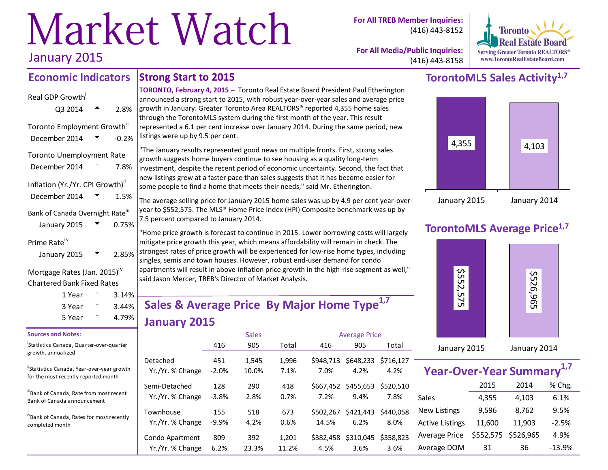# Market Watch January 2015

**For All TREB Member Inquiries:** (416) 443-8152



**For All Media/Public Inquiries:** (416) 443-8158

#### **Strong Start to 2015 Economic Indicators**

| Real GDP Growth                                              |         |
|--------------------------------------------------------------|---------|
| Q3 2014                                                      | 2.8%    |
| Toronto Employment Growth"<br>December 2014                  | $-0.2%$ |
| <b>Toronto Unemployment Rate</b><br>December 2014            | 7.8%    |
| Inflation (Yr./Yr. CPI Growth) <sup>"</sup><br>December 2014 | 1.5%    |
| Bank of Canada Overnight Rate"<br>January 2015               | 0.75%   |

Prime Rate<sup>iv</sup>

| January 2015 | ┳ | 2.85% |
|--------------|---|-------|
|              |   |       |

Mortgage Rates (Jan. 2015)<sup>iv</sup> Chartered Bank Fixed Rates

| 1 Year | 3.14% |  |
|--------|-------|--|
| 3 Year | 3.44% |  |
| 5 Year | 4.79% |  |

#### **Sources and Notes:**

i Statistics Canada, Quarter-over-quarter growth, annualized

"Statistics Canada, Year-over-year growth for the most recently reported month

iiiBank of Canada, Rate from most recent Bank of Canada announcement

ivBank of Canada, Rates for most recently completed month

**TORONTO, February 4, 2015 –** Toronto Real Estate Board President Paul Etherington announced a strong start to 2015, with robust year-over-year sales and average price growth in January. Greater Toronto Area REALTORS® reported 4,355 home sales through the TorontoMLS system during the first month of the year. This result represented a 6.1 per cent increase over January 2014. During the same period, new listings were up by 9.5 per cent.

"The January results represented good news on multiple fronts. First, strong sales growth suggests home buyers continue to see housing as a quality long-term investment, despite the recent period of economic uncertainty. Second, the fact that new listings grew at a faster pace than sales suggests that it has become easier for some people to find a home that meets their needs," said Mr. Etherington.

The average selling price for January 2015 home sales was up by 4.9 per cent year-overyear to \$552,575. The MLS® Home Price Index (HPI) Composite benchmark was up by 7.5 percent compared to January 2014.

"Home price growth is forecast to continue in 2015. Lower borrowing costs will largely mitigate price growth this year, which means affordability will remain in check. The strongest rates of price growth will be experienced for low-rise home types, including singles, semis and town houses. However, robust end-user demand for condo apartments will result in above-inflation price growth in the high-rise segment as well," said Jason Mercer, TREB's Director of Market Analysis.

# **Sales & Average Price By Major Home Type1,7 January 2015**

|                                     |                | <b>Sales</b>   |                | <b>Average Price</b> |                                       |                   |  |  |  |
|-------------------------------------|----------------|----------------|----------------|----------------------|---------------------------------------|-------------------|--|--|--|
|                                     | 416            | 905            | Total          | 416                  | 905                                   | Total             |  |  |  |
| Detached<br>Yr./Yr. % Change        | 451<br>$-2.0%$ | 1,545<br>10.0% | 1,996<br>7.1%  | \$948.713<br>7.0%    | \$648,233<br>4.2%                     | \$716.127<br>4.2% |  |  |  |
| Semi-Detached<br>Yr./Yr. % Change   | 128<br>$-3.8%$ | 290<br>2.8%    | 418<br>0.7%    | 7.2%                 | \$667,452 \$455,653 \$520,510<br>9.4% | 7.8%              |  |  |  |
| Townhouse<br>Yr./Yr. % Change       | 155<br>$-9.9%$ | 518<br>4.2%    | 673<br>0.6%    | \$502.267<br>14.5%   | \$421,443<br>6.2%                     | \$440.058<br>8.0% |  |  |  |
| Condo Apartment<br>Yr./Yr. % Change | 809<br>6.2%    | 392<br>23.3%   | 1,201<br>11.2% | \$382.458<br>4.5%    | \$310,045 \$358,823<br>3.6%           | 3.6%              |  |  |  |

### **TorontoMLS Sales Activity1,7**



### **TorontoMLS Average Price1,7**



| Year-Over-Year Summary <sup>1,7</sup> |                     |        |          |  |  |  |  |  |  |  |
|---------------------------------------|---------------------|--------|----------|--|--|--|--|--|--|--|
|                                       | 2015                | 2014   | % Chg.   |  |  |  |  |  |  |  |
| Sales                                 | 4,355               | 4,103  | 6.1%     |  |  |  |  |  |  |  |
| <b>New Listings</b>                   | 9,596               | 8,762  | 9.5%     |  |  |  |  |  |  |  |
| <b>Active Listings</b>                | 11,600              | 11,903 | $-2.5%$  |  |  |  |  |  |  |  |
| Average Price                         | \$552,575 \$526,965 |        | 4.9%     |  |  |  |  |  |  |  |
| Average DOM                           | 31                  | 36     | $-13.9%$ |  |  |  |  |  |  |  |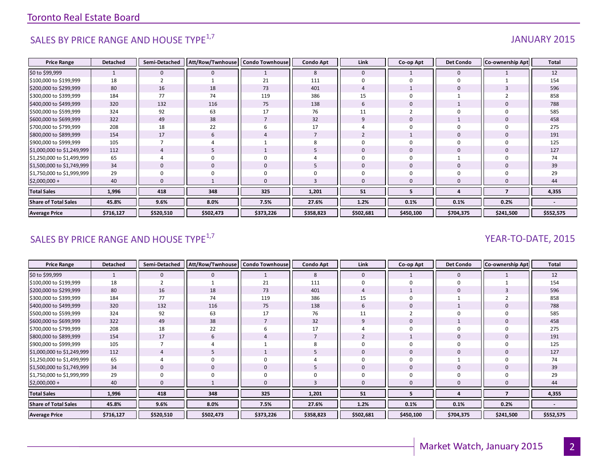# SALES BY PRICE RANGE AND HOUSE TYPE<sup>1,7</sup>  $\sqrt{3}$  and  $\sqrt{3}$  and  $\sqrt{3}$  and  $\sqrt{3}$  and  $\sqrt{3}$  and  $\sqrt{3}$  and  $\sqrt{3}$  and  $\sqrt{3}$  and  $\sqrt{3}$  and  $\sqrt{3}$  and  $\sqrt{3}$  and  $\sqrt{3}$  and  $\sqrt{3}$  and  $\sqrt{3}$  and  $\sqrt{3}$  and

#### **Price Range Detached Semi-Detached Att/Row/Twnhouse Condo Townhouse Condo Apt Link Co-op Apt Det Condo Co-ownership Apt Total** \$0 to \$99,999 1 0 0 1 8 0 1 0 1 12 \$100,000 to \$199,999 18 2 1 21 111 0 0 0 1 154 \$200,000 to \$299,999 | 80 || 16 || 18 || 73 || 401 || 4 || 1 || 0 || 3 || 596 \$300,000 to \$399,999 | 184 || 77 || 74 || 119 || 386 || 15 || 0 || 1 || 2 || 858 \$400,000 to \$499,999 | 320 || 132 || 116 || 75 || 138 || 6 || 0 || 1 || 0 || 788 \$500,000 to \$599,999 | 324 || 92 || 63 || 17 || 76 || 11 || 2 || 0 || 0 || 585 \$600,000 to \$699,999 | 322 || 49 || 38 || 7 || 32 || 9 || 0 || 1 || 0 || 458 \$700,000 to \$799,999 | 208 || 18 || 22 || 6 || 17 || 4 || 0 || 0 || 0 || 275 \$800,000 to \$899,999 | 154 || 17 || 6 || 4 || 7 || 2 || 1 || 0 || 0 || 191 \$900,000 to \$999,999 | 105 || 7 || 4 || 1 || 8 || 0 || 0 || 0 || 0 || 0 || 125 \$1,000,000 to \$1,249,999 112 4 5 1 5 0 0 0 0 127 \$1,250,000 to \$1,499,999 65 4 0 0 4 0 0 1 0 74 \$1,500,000 to \$1,749,999 34 || 0 || 0 || 5 || 0 || 0 || 0 || 39 \$1,750,000 to \$1,999,999 29 0 0 0 0 0 0 0 0 29 \$2,000,000 + 40 0 1 0 3 0 0 0 0 44 **Total Sales 1,996 418 348 325 1,201 51 5 4 7 4,355 Share of Total Sales 45.8% 9.6% 8.0% 7.5% 27.6% 1.2% 0.1% 0.1% 0.2% - Average Price \$716,127 \$520,510 \$502,473 \$373,226 \$358,823 \$502,681 \$450,100 \$704,375 \$241,500 \$552,575**

### SALES BY PRICE RANGE AND HOUSE TYPE<sup>1,7</sup> YEAR-TO-DATE, 2015

| <b>Price Range</b>          | <b>Detached</b> | Semi-Detached  | Att/Row/Twnhouse   Condo Townhouse |                | <b>Condo Apt</b> | Link         | Co-op Apt    | <b>Det Condo</b> | <b>Co-ownership Apt</b> | <b>Total</b>             |
|-----------------------------|-----------------|----------------|------------------------------------|----------------|------------------|--------------|--------------|------------------|-------------------------|--------------------------|
| \$0 to \$99,999             |                 | $\mathbf{0}$   |                                    |                | 8                | $\mathbf{0}$ |              | $\mathbf 0$      |                         | 12                       |
| \$100,000 to \$199,999      | 18              | $\overline{2}$ |                                    | 21             | 111              | $\Omega$     |              | $\Omega$         |                         | 154                      |
| \$200,000 to \$299,999      | 80              | 16             | 18                                 | 73             | 401              |              |              | $\mathbf{0}$     |                         | 596                      |
| \$300,000 to \$399,999      | 184             | 77             | 74                                 | 119            | 386              | 15           |              |                  |                         | 858                      |
| \$400,000 to \$499,999      | 320             | 132            | 116                                | 75             | 138              | 6            |              |                  |                         | 788                      |
| \$500,000 to \$599,999      | 324             | 92             | 63                                 | 17             | 76               | 11           |              |                  |                         | 585                      |
| \$600,000 to \$699,999      | 322             | 49             | 38                                 | $\overline{7}$ | 32               | q            |              |                  |                         | 458                      |
| \$700,000 to \$799,999      | 208             | 18             | 22                                 | 6              | 17               |              |              |                  |                         | 275                      |
| \$800,000 to \$899,999      | 154             | 17             | 6                                  | 4              |                  |              |              | $\mathbf 0$      |                         | 191                      |
| \$900,000 to \$999,999      | 105             | $\overline{7}$ |                                    |                |                  |              |              | 0                |                         | 125                      |
| \$1,000,000 to \$1,249,999  | 112             | $\overline{4}$ |                                    |                |                  | 0            | $\mathbf{0}$ | $\mathbf{0}$     |                         | 127                      |
| \$1,250,000 to \$1,499,999  | 65              | 4              |                                    |                |                  | U            |              |                  |                         | 74                       |
| \$1,500,000 to \$1,749,999  | 34              |                |                                    |                |                  | $\Omega$     | 0            |                  |                         | 39                       |
| \$1,750,000 to \$1,999,999  | 29              |                |                                    |                |                  |              |              |                  |                         | 29                       |
| $$2,000,000 +$              | 40              |                |                                    | $\mathbf{0}$   |                  | 0            |              | $\Omega$         |                         | 44                       |
| <b>Total Sales</b>          | 1,996           | 418            | 348                                | 325            | 1,201            | 51           |              |                  |                         | 4,355                    |
| <b>Share of Total Sales</b> | 45.8%           | 9.6%           | 8.0%                               | 7.5%           | 27.6%            | 1.2%         | 0.1%         | 0.1%             | 0.2%                    | $\overline{\phantom{a}}$ |
| <b>Average Price</b>        | \$716,127       | \$520,510      | \$502,473                          | \$373,226      | \$358,823        | \$502,681    | \$450,100    | \$704,375        | \$241,500               | \$552,575                |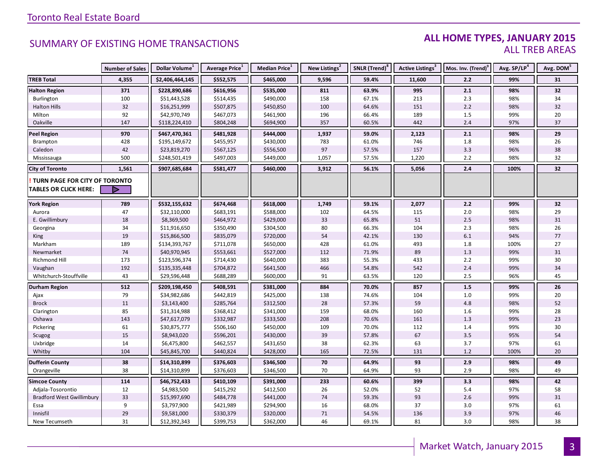#### **ALL HOME TYPES, JANUARY 2015** ALL TREB AREAS

|                                        | <b>Number of Sales</b> | Dollar Volume <sup>1</sup>   | Average Price <sup>1</sup> | Median Price <sup>1</sup> | New Listings <sup>2</sup> | SNLR (Trend) <sup>8</sup> | Active Listings <sup>3</sup> | Mos. Inv. (Trend) <sup>9</sup> | Avg. SP/LP <sup>4</sup> | Avg. DOM <sup>5</sup> |
|----------------------------------------|------------------------|------------------------------|----------------------------|---------------------------|---------------------------|---------------------------|------------------------------|--------------------------------|-------------------------|-----------------------|
| <b>TREB Total</b>                      | 4,355                  | \$2,406,464,145              | \$552,575                  | \$465,000                 | 9,596                     | 59.4%                     | 11,600                       | 2.2                            | 99%                     | 31                    |
| <b>Halton Region</b>                   | 371                    | \$228,890,686                | \$616,956                  | \$535,000                 | 811                       | 63.9%                     | 995                          | 2.1                            | 98%                     | 32                    |
| Burlington                             | 100                    | \$51,443,528                 | \$514,435                  | \$490,000                 | 158                       | 67.1%                     | 213                          | 2.3                            | 98%                     | 34                    |
| <b>Halton Hills</b>                    | 32                     | \$16,251,999                 | \$507,875                  | \$450,850                 | 100                       | 64.6%                     | 151                          | 2.2                            | 98%                     | 32                    |
| Milton                                 | 92                     | \$42,970,749                 | \$467,073                  | \$461,900                 | 196                       | 66.4%                     | 189                          | 1.5                            | 99%                     | 20                    |
| Oakville                               | 147                    | \$118,224,410                | \$804,248                  | \$694,900                 | 357                       | 60.5%                     | 442                          | 2.4                            | 97%                     | 37                    |
| <b>Peel Region</b>                     | 970                    | \$467,470,361                | \$481,928                  | \$444,000                 | 1,937                     | 59.0%                     | 2,123                        | 2.1                            | 98%                     | 29                    |
| Brampton                               | 428                    | \$195,149,672                | \$455,957                  | \$430,000                 | 783                       | 61.0%                     | 746                          | 1.8                            | 98%                     | 26                    |
| Caledon                                | 42                     | \$23,819,270                 | \$567,125                  | \$556,500                 | $97\,$                    | 57.5%                     | 157                          | 3.3                            | 96%                     | 38                    |
| Mississauga                            | 500                    | \$248,501,419                | \$497,003                  | \$449,000                 | 1,057                     | 57.5%                     | 1,220                        | 2.2                            | 98%                     | 32                    |
| <b>City of Toronto</b>                 | 1,561                  | \$907,685,684                | \$581,477                  | \$460,000                 | 3,912                     | 56.1%                     | 5,056                        | 2.4                            | 100%                    | 32                    |
| <b>! TURN PAGE FOR CITY OF TORONTO</b> |                        |                              |                            |                           |                           |                           |                              |                                |                         |                       |
| <b>TABLES OR CLICK HERE:</b>           |                        |                              |                            |                           |                           |                           |                              |                                |                         |                       |
|                                        | 789                    | \$532,155,632                | \$674,468                  | \$618,000                 | 1,749                     | 59.1%                     | 2,077                        | 2.2                            | 99%                     | 32                    |
| <b>York Region</b>                     | 47                     | \$32,110,000                 |                            | \$588,000                 | 102                       | 64.5%                     | 115                          | 2.0                            | 98%                     | 29                    |
| Aurora<br>E. Gwillimbury               | 18                     | \$8,369,500                  | \$683,191<br>\$464,972     | \$429,000                 | 33                        | 65.8%                     | 51                           | 2.5                            | 98%                     | 31                    |
| Georgina                               | 34                     | \$11,916,650                 | \$350,490                  | \$304,500                 | 80                        | 66.3%                     | 104                          | 2.3                            | 98%                     | 26                    |
| King                                   | 19                     | \$15,866,500                 | \$835,079                  | \$720,000                 | 54                        | 42.1%                     | 130                          | 6.1                            | 94%                     | 77                    |
| Markham                                | 189                    | \$134,393,767                | \$711,078                  | \$650,000                 | 428                       | 61.0%                     | 493                          | 1.8                            | 100%                    | 27                    |
| Newmarket                              | 74                     | \$40,970,945                 | \$553,661                  | \$527,000                 | 112                       | 71.9%                     | 89                           | 1.3                            | 99%                     | $31\,$                |
| Richmond Hill                          | 173                    | \$123,596,374                | \$714,430                  | \$640,000                 | 383                       | 55.3%                     | 433                          | 2.2                            | 99%                     | 30                    |
|                                        | 192                    | \$135,335,448                | \$704,872                  | \$641,500                 |                           | 54.8%                     | 542                          | 2.4                            | 99%                     | 34                    |
| Vaughan<br>Whitchurch-Stouffville      | 43                     | \$29,596,448                 | \$688,289                  | \$600,000                 | 466<br>91                 | 63.5%                     | 120                          | 2.5                            | 96%                     | 45                    |
|                                        |                        |                              |                            |                           |                           |                           |                              |                                |                         |                       |
| <b>Durham Region</b>                   | 512                    | \$209,198,450                | \$408,591                  | \$381,000                 | 884                       | 70.0%                     | 857                          | 1.5                            | 99%                     | 26                    |
| Ajax                                   | 79                     | \$34,982,686                 | \$442,819                  | \$425,000                 | 138                       | 74.6%                     | 104                          | 1.0                            | 99%                     | 20                    |
| <b>Brock</b>                           | 11                     | \$3,143,400                  | \$285,764                  | \$312,500                 | 28                        | 57.3%                     | 59                           | 4.8                            | 98%                     | 52                    |
| Clarington                             | 85                     | \$31,314,988                 | \$368,412                  | \$341,000                 | 159                       | 68.0%                     | 160                          | 1.6                            | 99%<br>99%              | 28<br>23              |
| Oshawa                                 | 143<br>61              | \$47,617,079<br>\$30,875,777 | \$332,987                  | \$333,500                 | 208                       | 70.6%<br>70.0%            | 161<br>112                   | 1.3                            | 99%                     |                       |
| Pickering                              | 15                     |                              | \$506,160                  | \$450,000                 | 109<br>39                 |                           | 67                           | 1.4<br>3.5                     |                         | 30<br>54              |
| Scugog                                 |                        | \$8,943,020                  | \$596,201                  | \$430,000                 |                           | 57.8%                     |                              |                                | 95%                     |                       |
| Uxbridge                               | 14<br>104              | \$6,475,800                  | \$462,557                  | \$431,650                 | 38                        | 62.3%                     | 63<br>131                    | 3.7<br>1.2                     | 97%<br>100%             | 61<br>20              |
| Whitby                                 |                        | \$45,845,700                 | \$440,824                  | \$428,000                 | 165                       | 72.5%                     |                              |                                |                         |                       |
| <b>Dufferin County</b>                 | 38                     | \$14,310,899                 | \$376,603                  | \$346,500                 | 70                        | 64.9%                     | 93                           | 2.9                            | 98%                     | 49                    |
| Orangeville                            | 38                     | \$14,310,899                 | \$376,603                  | \$346,500                 | 70                        | 64.9%                     | 93                           | 2.9                            | 98%                     | 49                    |
| <b>Simcoe County</b>                   | 114                    | \$46,752,433                 | \$410,109                  | \$391,000                 | 233                       | 60.6%                     | 399                          | 3.3                            | 98%                     | 42                    |
| Adjala-Tosorontio                      | 12                     | \$4,983,500                  | \$415,292                  | \$412,500                 | 26                        | 52.0%                     | 52                           | 5.4                            | 97%                     | 58                    |
| <b>Bradford West Gwillimbury</b>       | 33                     | \$15,997,690                 | \$484,778                  | \$441,000                 | 74                        | 59.3%                     | 93                           | 2.6                            | 99%                     | 31                    |
| Essa                                   | 9                      | \$3,797,900                  | \$421,989                  | \$294,900                 | 16                        | 68.0%                     | 37                           | 3.0                            | 97%                     | 61                    |
| Innisfil                               | 29                     | \$9,581,000                  | \$330,379                  | \$320,000                 | 71                        | 54.5%                     | 136                          | 3.9                            | 97%                     | 46                    |
| New Tecumseth                          | 31                     | \$12,392,343                 | \$399,753                  | \$362,000                 | 46                        | 69.1%                     | 81                           | 3.0                            | 98%                     | 38                    |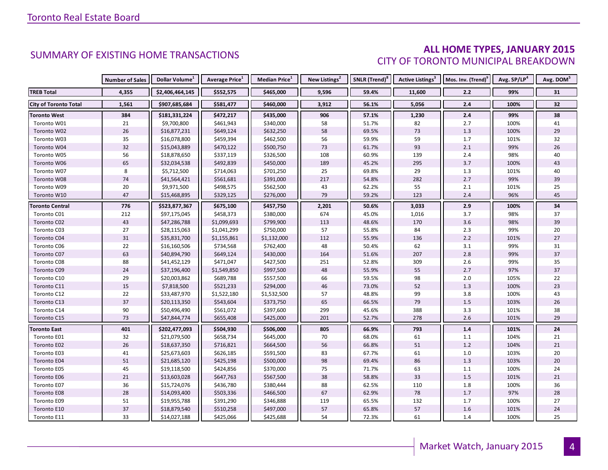#### **ALL HOME TYPES, JANUARY 2015** CITY OF TORONTO MUNICIPAL BREAKDOWN

|                              | <b>Number of Sales</b> | Dollar Volume <sup>1</sup> | Average Price <sup>1</sup> | Median Price <sup>1</sup> | New Listings <sup>2</sup> | SNLR (Trend) <sup>8</sup> | Active Listings <sup>3</sup> | Mos. Inv. (Trend) <sup>9</sup> | Avg. SP/LP <sup>4</sup> | Avg. DOM <sup>5</sup> |
|------------------------------|------------------------|----------------------------|----------------------------|---------------------------|---------------------------|---------------------------|------------------------------|--------------------------------|-------------------------|-----------------------|
| <b>TREB Total</b>            | 4,355                  | \$2,406,464,145            | \$552,575                  | \$465,000                 | 9,596                     | 59.4%                     | 11,600                       | 2.2                            | 99%                     | 31                    |
| <b>City of Toronto Total</b> | 1,561                  | \$907,685,684              | \$581,477                  | \$460,000                 | 3,912                     | 56.1%                     | 5,056                        | 2.4                            | 100%                    | 32                    |
| Toronto West                 | 384                    | \$181,331,224              | \$472,217                  | \$435,000                 | 906                       | 57.1%                     | 1,230                        | 2.4                            | 99%                     | 38                    |
| Toronto W01                  | 21                     | \$9,700,800                | \$461,943                  | \$340,000                 | 58                        | 51.7%                     | 82                           | 2.7                            | 100%                    | 41                    |
| Toronto W02                  | 26                     | \$16,877,231               | \$649,124                  | \$632,250                 | 58                        | 69.5%                     | 73                           | 1.3                            | 100%                    | 29                    |
| Toronto W03                  | 35                     | \$16,078,800               | \$459,394                  | \$462,500                 | 56                        | 59.9%                     | 59                           | 1.7                            | 101%                    | 32                    |
| Toronto W04                  | 32                     | \$15,043,889               | \$470,122                  | \$500,750                 | 73                        | 61.7%                     | 93                           | 2.1                            | 99%                     | 26                    |
| Toronto W05                  | 56                     | \$18,878,650               | \$337,119                  | \$326,500                 | 108                       | 60.9%                     | 139                          | $2.4$                          | 98%                     | 40                    |
| Toronto W06                  | 65                     | \$32,034,538               | \$492,839                  | \$450,000                 | 189                       | 45.2%                     | 295                          | 3.7                            | 100%                    | 43                    |
| Toronto W07                  | 8                      | \$5,712,500                | \$714,063                  | \$701,250                 | 25                        | 69.8%                     | 29                           | 1.3                            | 101%                    | 40                    |
| Toronto W08                  | 74                     | \$41,564,421               | \$561,681                  | \$391,000                 | 217                       | 54.8%                     | 282                          | 2.7                            | 99%                     | 39                    |
| Toronto W09                  | 20                     | \$9,971,500                | \$498,575                  | \$562,500                 | 43                        | 62.2%                     | 55                           | 2.1                            | 101%                    | 25                    |
| Toronto W10                  | 47                     | \$15,468,895               | \$329,125                  | \$276,000                 | 79                        | 59.2%                     | 123                          | 2.4                            | 96%                     | 45                    |
| <b>Toronto Central</b>       | 776                    | \$523,877,367              | \$675,100                  | \$457,750                 | 2,201                     | 50.6%                     | 3,033                        | 2.9                            | 100%                    | 34                    |
| Toronto C01                  | 212                    | \$97,175,045               | \$458,373                  | \$380,000                 | 674                       | 45.0%                     | 1,016                        | 3.7                            | 98%                     | 37                    |
| Toronto C02                  | 43                     | \$47,286,788               | \$1,099,693                | \$799,900                 | 113                       | 48.6%                     | 170                          | 3.6                            | 98%                     | 39                    |
| Toronto C03                  | 27                     | \$28,115,063               | \$1,041,299                | \$750,000                 | 57                        | 55.8%                     | 84                           | 2.3                            | 99%                     | 20                    |
| Toronto C04                  | 31                     | \$35,831,700               | \$1,155,861                | \$1,132,000               | 112                       | 55.9%                     | 136                          | 2.2                            | 101%                    | 27                    |
| Toronto C06                  | 22                     | \$16,160,506               | \$734,568                  | \$762,400                 | 48                        | 50.4%                     | 62                           | 3.1                            | 99%                     | 31                    |
| Toronto C07                  | 63                     | \$40,894,790               | \$649,124                  | \$430,000                 | 164                       | 51.6%                     | 207                          | 2.8                            | 99%                     | 37                    |
| Toronto C08                  | 88                     | \$41,452,129               | \$471,047                  | \$427,500                 | 251                       | 52.8%                     | 309                          | 2.6                            | 99%                     | 35                    |
| Toronto C09                  | 24                     | \$37,196,400               | \$1,549,850                | \$997,500                 | 48                        | 55.9%                     | 55                           | 2.7                            | 97%                     | 37                    |
| Toronto C10                  | 29                     | \$20,003,862               | \$689,788                  | \$557,500                 | 66                        | 59.5%                     | 98                           | 2.0                            | 105%                    | 22                    |
| Toronto C11                  | 15                     | \$7,818,500                | \$521,233                  | \$294,000                 | 46                        | 73.0%                     | 52                           | 1.3                            | 100%                    | 23                    |
| Toronto C12                  | 22                     | \$33,487,970               | \$1,522,180                | \$1,532,500               | 57                        | 48.8%                     | 99                           | 3.8                            | 100%                    | 43                    |
| Toronto C13                  | 37                     | \$20,113,350               | \$543,604                  | \$373,750                 | 65                        | 66.5%                     | 79                           | $1.5$                          | 103%                    | 26                    |
| Toronto C14                  | 90                     | \$50,496,490               | \$561,072                  | \$397,600                 | 299                       | 45.6%                     | 388                          | 3.3                            | 101%                    | 38                    |
| Toronto C15                  | 73                     | \$47,844,774               | \$655,408                  | \$425,000                 | 201                       | 52.7%                     | 278                          | 2.6                            | 101%                    | 29                    |
| Toronto East                 | 401                    | \$202,477,093              | \$504,930                  | \$506,000                 | 805                       | 66.9%                     | 793                          | 1.4                            | 101%                    | 24                    |
| Toronto E01                  | 32                     | \$21,079,500               | \$658,734                  | \$645,000                 | 70                        | 68.0%                     | 61                           | 1.1                            | 104%                    | 21                    |
| Toronto E02                  | 26                     | \$18,637,350               | \$716,821                  | \$664,500                 | 56                        | 66.8%                     | 51                           | 1.2                            | 104%                    | 21                    |
| Toronto E03                  | 41                     | \$25,673,603               | \$626,185                  | \$591,500                 | 83                        | 67.7%                     | 61                           | 1.0                            | 103%                    | 20                    |
| <b>Toronto E04</b>           | 51                     | \$21,685,120               | \$425,198                  | \$500,000                 | 98                        | 69.4%                     | 86                           | 1.3                            | 103%                    | 20                    |
| Toronto E05                  | 45                     | \$19,118,500               | \$424,856                  | \$370,000                 | 75                        | 71.7%                     | 63                           | 1.1                            | 100%                    | 24                    |
| Toronto E06                  | 21                     | \$13,603,028               | \$647,763                  | \$567,500                 | 38                        | 58.8%                     | 33                           | 1.5                            | 101%                    | 21                    |
| Toronto E07                  | 36                     | \$15,724,076               | \$436,780                  | \$380,444                 | 88                        | 62.5%                     | 110                          | 1.8                            | 100%                    | 36                    |
| Toronto E08                  | 28                     | \$14,093,400               | \$503,336                  | \$466,500                 | 67                        | 62.9%                     | 78                           | 1.7                            | 97%                     | 28                    |
| Toronto E09                  | 51                     | \$19,955,788               | \$391,290                  | \$346,888                 | 119                       | 65.5%                     | 132                          | 1.7                            | 100%                    | 27                    |
| Toronto E10                  | 37                     | \$18,879,540               | \$510,258                  | \$497,000                 | 57                        | 65.8%                     | 57                           | 1.6                            | 101%                    | 24                    |
| Toronto E11                  | 33                     | \$14,027,188               | \$425,066                  | \$425,688                 | 54                        | 72.3%                     | 61                           | 1.4                            | 100%                    | 25                    |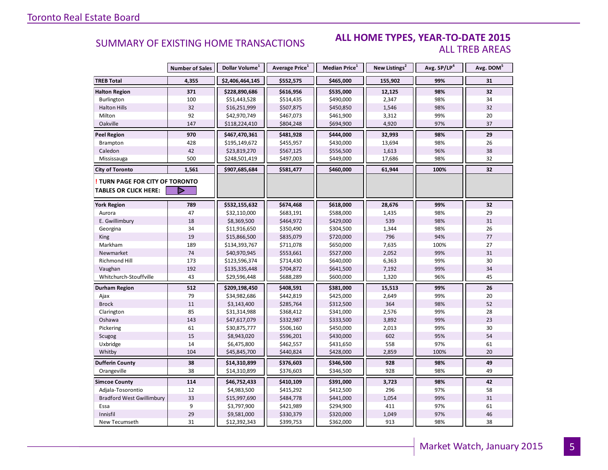#### **ALL HOME TYPES, YEAR-TO-DATE 2015** ALL TREB AREAS

|                                  | <b>Number of Sales</b> | Dollar Volume <sup>1</sup> | Average Price <sup>1</sup> | <b>Median Price</b> <sup>1</sup> | New Listings <sup>2</sup> | Avg. SP/LP <sup>4</sup> | Avg. DOM <sup>5</sup> |
|----------------------------------|------------------------|----------------------------|----------------------------|----------------------------------|---------------------------|-------------------------|-----------------------|
| <b>TREB Total</b>                | 4,355                  | \$2,406,464,145            | \$552,575                  | \$465,000                        | 155,902                   | 99%                     | 31                    |
| <b>Halton Region</b>             | 371                    | \$228,890,686              | \$616,956                  | \$535,000                        | 12,125                    | 98%                     | 32                    |
| Burlington                       | 100                    | \$51,443,528               | \$514,435                  | \$490,000                        | 2,347                     | 98%                     | 34                    |
| <b>Halton Hills</b>              | 32                     | \$16,251,999               | \$507,875                  | \$450,850                        | 1,546                     | 98%                     | 32                    |
| Milton                           | 92                     | \$42,970,749               | \$467,073                  | \$461,900                        | 3,312                     | 99%                     | 20                    |
| Oakville                         | 147                    | \$118,224,410              | \$804,248                  | \$694,900                        | 4,920                     | 97%                     | 37                    |
| <b>Peel Region</b>               | 970                    | \$467,470,361              | \$481,928                  | \$444,000                        | 32,993                    | 98%                     | 29                    |
| Brampton                         | 428                    | \$195,149,672              | \$455,957                  | \$430,000                        | 13,694                    | 98%                     | 26                    |
| Caledon                          | 42                     | \$23,819,270               | \$567,125                  | \$556,500                        | 1,613                     | 96%                     | 38                    |
| Mississauga                      | 500                    | \$248,501,419              | \$497,003                  | \$449,000                        | 17,686                    | 98%                     | 32                    |
| <b>City of Toronto</b>           | 1,561                  | \$907,685,684              | \$581,477                  | \$460,000                        | 61,944                    | 100%                    | 32                    |
| TURN PAGE FOR CITY OF TORONTO    |                        |                            |                            |                                  |                           |                         |                       |
| <b>TABLES OR CLICK HERE:</b>     |                        |                            |                            |                                  |                           |                         |                       |
| <b>York Region</b>               | 789                    | \$532,155,632              | \$674,468                  | \$618,000                        | 28,676                    | 99%                     | 32                    |
| Aurora                           | 47                     | \$32,110,000               | \$683,191                  | \$588,000                        | 1,435                     | 98%                     | 29                    |
| E. Gwillimbury                   | 18                     | \$8,369,500                | \$464,972                  | \$429,000                        | 539                       | 98%                     | 31                    |
| Georgina                         | 34                     | \$11,916,650               | \$350,490                  | \$304,500                        | 1,344                     | 98%                     | 26                    |
| King                             | 19                     | \$15,866,500               | \$835,079                  | \$720,000                        | 796                       | 94%                     | 77                    |
| Markham                          | 189                    | \$134,393,767              | \$711,078                  | \$650,000                        | 7,635                     | 100%                    | 27                    |
| Newmarket                        | 74                     | \$40,970,945               | \$553,661                  | \$527,000                        | 2,052                     | 99%                     | 31                    |
| Richmond Hill                    | 173                    | \$123,596,374              | \$714,430                  | \$640,000                        | 6,363                     | 99%                     | 30                    |
| Vaughan                          | 192                    | \$135,335,448              | \$704,872                  | \$641,500                        | 7,192                     | 99%                     | 34                    |
| Whitchurch-Stouffville           | 43                     | \$29,596,448               | \$688,289                  | \$600,000                        | 1,320                     | 96%                     | 45                    |
| Durham Region                    | 512                    | \$209,198,450              | \$408,591                  | \$381,000                        | 15,513                    | 99%                     | 26                    |
| Ajax                             | 79                     | \$34,982,686               | \$442,819                  | \$425,000                        | 2,649                     | 99%                     | 20                    |
| <b>Brock</b>                     | 11                     | \$3,143,400                | \$285,764                  | \$312,500                        | 364                       | 98%                     | 52                    |
| Clarington                       | 85                     | \$31,314,988               | \$368,412                  | \$341,000                        | 2,576                     | 99%                     | 28                    |
| Oshawa                           | 143                    | \$47,617,079               | \$332,987                  | \$333,500                        | 3,892                     | 99%                     | 23                    |
| Pickering                        | 61                     | \$30,875,777               | \$506,160                  | \$450,000                        | 2,013                     | 99%                     | 30                    |
| Scugog                           | 15                     | \$8,943,020                | \$596,201                  | \$430,000                        | 602                       | 95%                     | 54                    |
| Uxbridge                         | 14                     | \$6,475,800                | \$462,557                  | \$431,650                        | 558                       | 97%                     | 61                    |
| Whitby                           | 104                    | \$45,845,700               | \$440,824                  | \$428,000                        | 2,859                     | 100%                    | 20                    |
| <b>Dufferin County</b>           | 38                     | \$14,310,899               | \$376,603                  | \$346,500                        | 928                       | 98%                     | 49                    |
| Orangeville                      | 38                     | \$14,310,899               | \$376,603                  | \$346,500                        | 928                       | 98%                     | 49                    |
| <b>Simcoe County</b>             | 114                    | \$46,752,433               | \$410,109                  | \$391,000                        | 3,723                     | 98%                     | 42                    |
| Adjala-Tosorontio                | 12                     | \$4,983,500                | \$415,292                  | \$412,500                        | 296                       | 97%                     | 58                    |
| <b>Bradford West Gwillimbury</b> | 33                     | \$15,997,690               | \$484,778                  | \$441,000                        | 1,054                     | 99%                     | 31                    |
| Essa                             | 9                      | \$3,797,900                | \$421,989                  | \$294,900                        | 411                       | 97%                     | 61                    |
| Innisfil                         | 29                     | \$9,581,000                | \$330,379                  | \$320,000                        | 1,049                     | 97%                     | 46                    |
| New Tecumseth                    | 31                     | \$12,392,343               | \$399,753                  | \$362,000                        | 913                       | 98%                     | 38                    |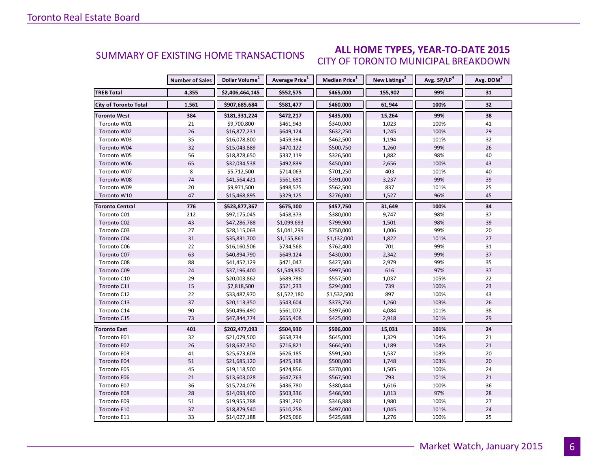#### **ALL HOME TYPES, YEAR-TO-DATE 2015** CITY OF TORONTO MUNICIPAL BREAKDOWN SUMMARY OF EXISTING HOME TRANSACTIONS

|                              | <b>Number of Sales</b> | Dollar Volume <sup>1</sup> | Average Price <sup>1</sup> | Median Price <sup>1</sup> | New Listings <sup>2</sup> | Avg. SP/LP <sup>4</sup> | Avg. DOM <sup>5</sup> |
|------------------------------|------------------------|----------------------------|----------------------------|---------------------------|---------------------------|-------------------------|-----------------------|
| <b>TREB Total</b>            | 4,355                  | \$2,406,464,145            | \$552,575                  | \$465,000                 | 155,902                   | 99%                     | 31                    |
| <b>City of Toronto Total</b> | 1,561                  | \$907,685,684              | \$581,477                  | \$460,000                 | 61,944                    | 100%                    | 32                    |
| <b>Toronto West</b>          | 384                    | \$181,331,224              | \$472,217                  | \$435,000                 | 15,264                    | 99%                     | 38                    |
| Toronto W01                  | 21                     | \$9,700,800                | \$461,943                  | \$340,000                 | 1,023                     | 100%                    | 41                    |
| Toronto W02                  | 26                     | \$16,877,231               | \$649,124                  | \$632,250                 | 1,245                     | 100%                    | 29                    |
| Toronto W03                  | 35                     | \$16,078,800               | \$459,394                  | \$462,500                 | 1,194                     | 101%                    | 32                    |
| Toronto W04                  | 32                     | \$15,043,889               | \$470,122                  | \$500,750                 | 1,260                     | 99%                     | 26                    |
| Toronto W05                  | 56                     | \$18,878,650               | \$337,119                  | \$326,500                 | 1,882                     | 98%                     | 40                    |
| Toronto W06                  | 65                     | \$32,034,538               | \$492,839                  | \$450,000                 | 2,656                     | 100%                    | 43                    |
| Toronto W07                  | 8                      | \$5,712,500                | \$714,063                  | \$701,250                 | 403                       | 101%                    | 40                    |
| Toronto W08                  | 74                     | \$41,564,421               | \$561,681                  | \$391,000                 | 3,237                     | 99%                     | 39                    |
| Toronto W09                  | 20                     | \$9,971,500                | \$498,575                  | \$562,500                 | 837                       | 101%                    | 25                    |
| Toronto W10                  | 47                     | \$15,468,895               | \$329,125                  | \$276,000                 | 1,527                     | 96%                     | 45                    |
| Toronto Central              | 776                    | \$523,877,367              | \$675,100                  | \$457,750                 | 31,649                    | 100%                    | 34                    |
| Toronto C01                  | 212                    | \$97,175,045               | \$458,373                  | \$380,000                 | 9,747                     | 98%                     | 37                    |
| Toronto C02                  | 43                     | \$47,286,788               | \$1,099,693                | \$799,900                 | 1,501                     | 98%                     | 39                    |
| Toronto C03                  | 27                     | \$28,115,063               | \$1,041,299                | \$750,000                 | 1,006                     | 99%                     | 20                    |
| Toronto C04                  | 31                     | \$35,831,700               | \$1,155,861                | \$1,132,000               | 1,822                     | 101%                    | 27                    |
| Toronto C06                  | $22\,$                 | \$16,160,506               | \$734,568                  | \$762,400                 | 701                       | 99%                     | 31                    |
| Toronto C07                  | 63                     | \$40,894,790               | \$649,124                  | \$430,000                 | 2,342                     | 99%                     | 37                    |
| Toronto C08                  | 88                     | \$41,452,129               | \$471,047                  | \$427,500                 | 2,979                     | 99%                     | 35                    |
| Toronto C09                  | 24                     | \$37,196,400               | \$1,549,850                | \$997,500                 | 616                       | 97%                     | 37                    |
| Toronto C10                  | 29                     | \$20,003,862               | \$689,788                  | \$557,500                 | 1,037                     | 105%                    | 22                    |
| Toronto C11                  | 15                     | \$7,818,500                | \$521,233                  | \$294,000                 | 739                       | 100%                    | 23                    |
| Toronto C12                  | 22                     | \$33,487,970               | \$1,522,180                | \$1,532,500               | 897                       | 100%                    | 43                    |
| Toronto C13                  | 37                     | \$20,113,350               | \$543,604                  | \$373,750                 | 1,260                     | 103%                    | 26                    |
| Toronto C14                  | 90                     | \$50,496,490               | \$561,072                  | \$397,600                 | 4,084                     | 101%                    | 38                    |
| Toronto C15                  | 73                     | \$47,844,774               | \$655,408                  | \$425,000                 | 2,918                     | 101%                    | 29                    |
| <b>Toronto East</b>          | 401                    | \$202,477,093              | \$504,930                  | \$506,000                 | 15,031                    | 101%                    | 24                    |
| Toronto E01                  | 32                     | \$21,079,500               | \$658,734                  | \$645,000                 | 1,329                     | 104%                    | 21                    |
| Toronto E02                  | 26                     | \$18,637,350               | \$716,821                  | \$664,500                 | 1,189                     | 104%                    | 21                    |
| Toronto E03                  | 41                     | \$25,673,603               | \$626,185                  | \$591,500                 | 1,537                     | 103%                    | 20                    |
| Toronto E04                  | 51                     | \$21,685,120               | \$425,198                  | \$500,000                 | 1,748                     | 103%                    | 20                    |
| Toronto E05                  | 45                     | \$19,118,500               | \$424,856                  | \$370,000                 | 1,505                     | 100%                    | 24                    |
| Toronto E06                  | 21                     | \$13,603,028               | \$647,763                  | \$567,500                 | 793                       | 101%                    | 21                    |
| Toronto E07                  | 36                     | \$15,724,076               | \$436,780                  | \$380,444                 | 1,616                     | 100%                    | 36                    |
| Toronto E08                  | 28                     | \$14,093,400               | \$503,336                  | \$466,500                 | 1,013                     | 97%                     | 28                    |
| Toronto E09                  | 51                     | \$19,955,788               | \$391,290                  | \$346,888                 | 1,980                     | 100%                    | 27                    |
| Toronto E10                  | 37                     | \$18,879,540               | \$510,258                  | \$497,000                 | 1,045                     | 101%                    | 24                    |
| Toronto E11                  | 33                     | \$14,027,188               | \$425,066                  | \$425,688                 | 1,276                     | 100%                    | 25                    |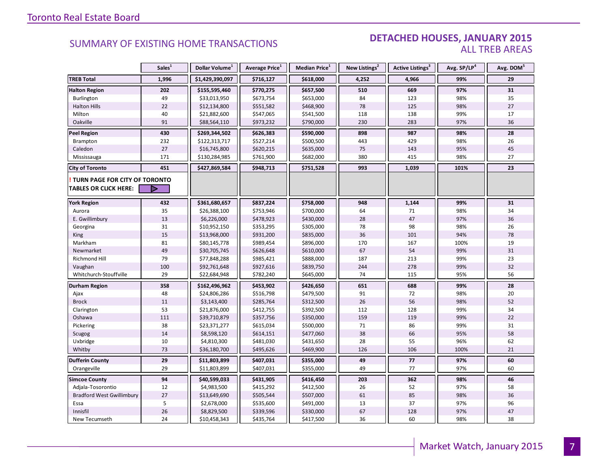#### DETACHED HOUSES, JANUARY 2015 ALL TREB AREAS

|                                      | Sales <sup>1</sup> | Dollar Volume <sup>1</sup> | Average Price <sup>1</sup> | Median Price <sup>1</sup> | New Listings <sup>2</sup> | Active Listings <sup>3</sup> | Avg. SP/LP <sup>4</sup> | Avg. DOM <sup>5</sup> |
|--------------------------------------|--------------------|----------------------------|----------------------------|---------------------------|---------------------------|------------------------------|-------------------------|-----------------------|
| <b>TREB Total</b>                    | 1,996              | \$1,429,390,097            | \$716,127                  | \$618,000                 | 4,252                     | 4,966                        | 99%                     | 29                    |
| <b>Halton Region</b>                 | 202                | \$155,595,460              | \$770,275                  | \$657,500                 | 510                       | 669                          | 97%                     | 31                    |
| Burlington                           | 49                 | \$33,013,950               | \$673,754                  | \$653,000                 | 84                        | 123                          | 98%                     | 35                    |
| <b>Halton Hills</b>                  | 22                 | \$12,134,800               | \$551,582                  | \$468,900                 | 78                        | 125                          | 98%                     | 27                    |
| Milton                               | 40                 | \$21,882,600               | \$547,065                  | \$541,500                 | 118                       | 138                          | 99%                     | 17                    |
| Oakville                             | 91                 | \$88,564,110               | \$973,232                  | \$790,000                 | 230                       | 283                          | 97%                     | 36                    |
| <b>Peel Region</b>                   | 430                | \$269,344,502              | \$626,383                  | \$590,000                 | 898                       | 987                          | 98%                     | 28                    |
| <b>Brampton</b>                      | 232                | \$122,313,717              | \$527,214                  | \$500,500                 | 443                       | 429                          | 98%                     | 26                    |
| Caledon                              | 27                 | \$16,745,800               | \$620,215                  | \$635,000                 | 75                        | 143                          | 95%                     | 45                    |
| Mississauga                          | 171                | \$130,284,985              | \$761,900                  | \$682,000                 | 380                       | 415                          | 98%                     | 27                    |
| <b>City of Toronto</b>               | 451                | \$427,869,584              | \$948,713                  | \$751,528                 | 993                       | 1,039                        | 101%                    | 23                    |
| <b>TURN PAGE FOR CITY OF TORONTO</b> |                    |                            |                            |                           |                           |                              |                         |                       |
| <b>TABLES OR CLICK HERE:</b>         |                    |                            |                            |                           |                           |                              |                         |                       |
| <b>York Region</b>                   | 432                | \$361,680,657              | \$837,224                  | \$758,000                 | 948                       | 1,144                        | 99%                     | 31                    |
| Aurora                               | 35                 | \$26,388,100               | \$753,946                  | \$700,000                 | 64                        | 71                           | 98%                     | 34                    |
| E. Gwillimbury                       | 13                 | \$6,226,000                | \$478,923                  | \$430,000                 | 28                        | 47                           | 97%                     | 36                    |
| Georgina                             | 31                 | \$10,952,150               | \$353,295                  | \$305,000                 | 78                        | 98                           | 98%                     | 26                    |
| King                                 | 15                 | \$13,968,000               | \$931,200                  | \$835,000                 | 36                        | 101                          | 94%                     | 78                    |
| Markham                              | 81                 | \$80,145,778               | \$989,454                  | \$896,000                 | 170                       | 167                          | 100%                    | 19                    |
| Newmarket                            | 49                 | \$30,705,745               | \$626,648                  | \$610,000                 | 67                        | 54                           | 99%                     | 31                    |
| Richmond Hill                        | 79                 | \$77,848,288               | \$985,421                  | \$888,000                 | 187                       | 213                          | 99%                     | 23                    |
| Vaughan                              | 100                | \$92,761,648               | \$927,616                  | \$839,750                 | 244                       | 278                          | 99%                     | 32                    |
| Whitchurch-Stouffville               | 29                 | \$22,684,948               | \$782,240                  | \$645,000                 | 74                        | 115                          | 95%                     | 56                    |
| <b>Durham Region</b>                 | 358                | \$162,496,962              | \$453,902                  | \$426,650                 | 651                       | 688                          | 99%                     | 28                    |
| Ajax                                 | 48                 | \$24,806,286               | \$516,798                  | \$479,500                 | 91                        | 72                           | 98%                     | 20                    |
| <b>Brock</b>                         | 11                 | \$3,143,400                | \$285,764                  | \$312,500                 | 26                        | 56                           | 98%                     | 52                    |
| Clarington                           | 53                 | \$21,876,000               | \$412,755                  | \$392,500                 | 112                       | 128                          | 99%                     | 34                    |
| Oshawa                               | 111                | \$39,710,879               | \$357,756                  | \$350,000                 | 159                       | 119                          | 99%                     | 22                    |
| Pickering                            | 38                 | \$23,371,277               | \$615,034                  | \$500,000                 | 71                        | 86                           | 99%                     | 31                    |
| Scugog                               | 14                 | \$8,598,120                | \$614,151                  | \$477,060                 | 38                        | 66                           | 95%                     | 58                    |
| Uxbridge                             | 10                 | \$4,810,300                | \$481,030                  | \$431,650                 | 28                        | 55                           | 96%                     | 62                    |
| Whitby                               | 73                 | \$36,180,700               | \$495,626                  | \$469,900                 | 126                       | 106                          | 100%                    | 21                    |
| <b>Dufferin County</b>               | 29                 | \$11,803,899               | \$407,031                  | \$355,000                 | 49                        | 77                           | 97%                     | 60                    |
| Orangeville                          | 29                 | \$11,803,899               | \$407,031                  | \$355,000                 | 49                        | 77                           | 97%                     | 60                    |
| <b>Simcoe County</b>                 | 94                 | \$40,599,033               | \$431,905                  | \$416,450                 | 203                       | 362                          | 98%                     | 46                    |
| Adjala-Tosorontio                    | 12                 | \$4,983,500                | \$415,292                  | \$412,500                 | 26                        | 52                           | 97%                     | 58                    |
| <b>Bradford West Gwillimbury</b>     | 27                 | \$13,649,690               | \$505,544                  | \$507,000                 | 61                        | 85                           | 98%                     | 36                    |
| Essa                                 | 5                  | \$2,678,000                | \$535,600                  | \$491,000                 | 13                        | 37                           | 97%                     | 96                    |
| Innisfil                             | 26                 | \$8,829,500                | \$339,596                  | \$330,000                 | 67                        | 128                          | 97%                     | 47                    |
| New Tecumseth                        | 24                 | \$10,458,343               | \$435,764                  | \$417,500                 | 36                        | 60                           | 98%                     | 38                    |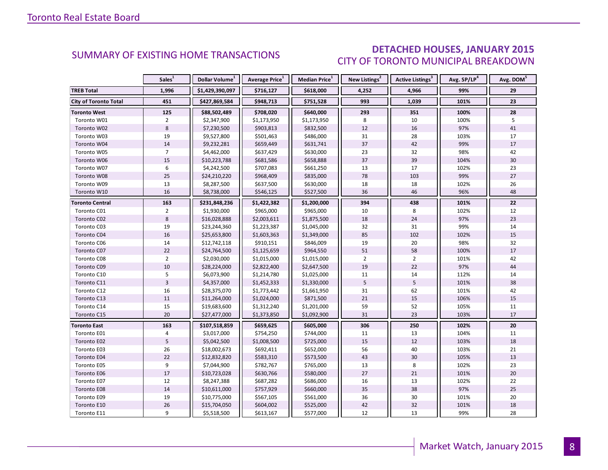### DETACHED HOUSES, JANUARY 2015 CITY OF TORONTO MUNICIPAL BREAKDOWN

|                              | Sales <sup>1</sup> | Dollar Volume <sup>1</sup> | Average Price <sup>1</sup> | Median Price <sup>1</sup> | New Listings <sup>2</sup> | <b>Active Listings<sup>3</sup></b> | Avg. SP/LP <sup>4</sup> | Avg. DOM <sup>5</sup> |
|------------------------------|--------------------|----------------------------|----------------------------|---------------------------|---------------------------|------------------------------------|-------------------------|-----------------------|
| <b>TREB Total</b>            | 1,996              | \$1,429,390,097            | \$716,127                  | \$618,000                 | 4,252                     | 4,966                              | 99%                     | 29                    |
| <b>City of Toronto Total</b> | 451                | \$427,869,584              | \$948,713                  | \$751,528                 | 993                       | 1,039                              | 101%                    | 23                    |
| <b>Toronto West</b>          | 125                | \$88,502,489               | \$708,020                  | \$640,000                 | 293                       | 351                                | 100%                    | 28                    |
| Toronto W01                  | $\overline{2}$     | \$2,347,900                | \$1,173,950                | \$1,173,950               | 8                         | 10                                 | 100%                    | 5                     |
| Toronto W02                  | 8                  | \$7,230,500                | \$903,813                  | \$832,500                 | 12                        | 16                                 | 97%                     | 41                    |
| Toronto W03                  | 19                 | \$9,527,800                | \$501,463                  | \$486,000                 | 31                        | 28                                 | 103%                    | 17                    |
| Toronto W04                  | 14                 | \$9,232,281                | \$659,449                  | \$631,741                 | 37                        | 42                                 | 99%                     | 17                    |
| Toronto W05                  | $\overline{7}$     | \$4,462,000                | \$637,429                  | \$630,000                 | 23                        | 32                                 | 98%                     | 42                    |
| Toronto W06                  | 15                 | \$10,223,788               | \$681,586                  | \$658,888                 | 37                        | 39                                 | 104%                    | 30                    |
| Toronto W07                  | 6                  | \$4,242,500                | \$707,083                  | \$661,250                 | 13                        | 17                                 | 102%                    | 23                    |
| Toronto W08                  | 25                 | \$24,210,220               | \$968,409                  | \$835,000                 | 78                        | 103                                | 99%                     | 27                    |
| Toronto W09                  | 13                 | \$8,287,500                | \$637,500                  | \$630,000                 | 18                        | 18                                 | 102%                    | 26                    |
| Toronto W10                  | 16                 | \$8,738,000                | \$546,125                  | \$527,500                 | 36                        | 46                                 | 96%                     | 48                    |
| <b>Toronto Central</b>       | 163                | \$231,848,236              | \$1,422,382                | \$1,200,000               | 394                       | 438                                | 101%                    | 22                    |
| Toronto C01                  | $\overline{2}$     | \$1,930,000                | \$965,000                  | \$965,000                 | 10                        | 8                                  | 102%                    | 12                    |
| Toronto C02                  | 8                  | \$16,028,888               | \$2,003,611                | \$1,875,500               | 18                        | 24                                 | 97%                     | 23                    |
| Toronto C03                  | 19                 | \$23,244,360               | \$1,223,387                | \$1,045,000               | 32                        | 31                                 | 99%                     | 14                    |
| Toronto C04                  | 16                 | \$25,653,800               | \$1,603,363                | \$1,349,000               | 85                        | 102                                | 102%                    | 15                    |
| Toronto C06                  | 14                 | \$12,742,118               | \$910,151                  | \$846,009                 | 19                        | 20                                 | 98%                     | 32                    |
| Toronto C07                  | 22                 | \$24,764,500               | \$1,125,659                | \$964,550                 | 51                        | 58                                 | 100%                    | 17                    |
| Toronto C08                  | $\overline{2}$     | \$2,030,000                | \$1,015,000                | \$1,015,000               | $\overline{2}$            | $\overline{2}$                     | 101%                    | 42                    |
| Toronto C09                  | 10                 | \$28,224,000               | \$2,822,400                | \$2,647,500               | 19                        | 22                                 | 97%                     | 44                    |
| Toronto C10                  | 5                  | \$6,073,900                | \$1,214,780                | \$1,025,000               | 11                        | 14                                 | 112%                    | 14                    |
| Toronto C11                  | $\overline{3}$     | \$4,357,000                | \$1,452,333                | \$1,330,000               | 5                         | 5                                  | 101%                    | 38                    |
| Toronto C12                  | 16                 | \$28,375,070               | \$1,773,442                | \$1,661,950               | 31                        | 62                                 | 101%                    | 42                    |
| Toronto C13                  | 11                 | \$11,264,000               | \$1,024,000                | \$871,500                 | 21                        | 15                                 | 106%                    | 15                    |
| Toronto C14                  | 15                 | \$19,683,600               | \$1,312,240                | \$1,201,000               | 59                        | 52                                 | 105%                    | 11                    |
| Toronto C15                  | 20                 | \$27,477,000               | \$1,373,850                | \$1,092,900               | 31                        | 23                                 | 103%                    | 17                    |
| <b>Toronto East</b>          | 163                | \$107,518,859              | \$659,625                  | \$605,000                 | 306                       | 250                                | 102%                    | 20                    |
| Toronto E01                  | $\overline{4}$     | \$3,017,000                | \$754,250                  | \$744,000                 | 11                        | 13                                 | 104%                    | 11                    |
| Toronto E02                  | 5                  | \$5,042,500                | \$1,008,500                | \$725,000                 | 15                        | 12                                 | 103%                    | 18                    |
| Toronto E03                  | 26                 | \$18,002,673               | \$692,411                  | \$652,000                 | 56                        | 40                                 | 103%                    | 21                    |
| Toronto E04                  | 22                 | \$12,832,820               | \$583,310                  | \$573,500                 | 43                        | 30                                 | 105%                    | 13                    |
| Toronto E05                  | 9                  | \$7,044,900                | \$782,767                  | \$765,000                 | 13                        | 8                                  | 102%                    | 23                    |
| Toronto E06                  | 17                 | \$10,723,028               | \$630,766                  | \$580,000                 | 27                        | 21                                 | 101%                    | 20                    |
| Toronto E07                  | 12                 | \$8,247,388                | \$687,282                  | \$686,000                 | 16                        | 13                                 | 102%                    | 22                    |
| Toronto E08                  | 14                 | \$10,611,000               | \$757,929                  | \$660,000                 | 35                        | 38                                 | 97%                     | 25                    |
| Toronto E09                  | 19                 | \$10,775,000               | \$567,105                  | \$561,000                 | 36                        | 30                                 | 101%                    | 20                    |
| Toronto E10                  | 26                 | \$15,704,050               | \$604,002                  | \$525,000                 | 42                        | 32                                 | 101%                    | 18                    |
| Toronto E11                  | 9                  | \$5,518,500                | \$613,167                  | \$577,000                 | 12                        | 13                                 | 99%                     | 28                    |

<span id="page-7-0"></span>**Page 3 July 2010**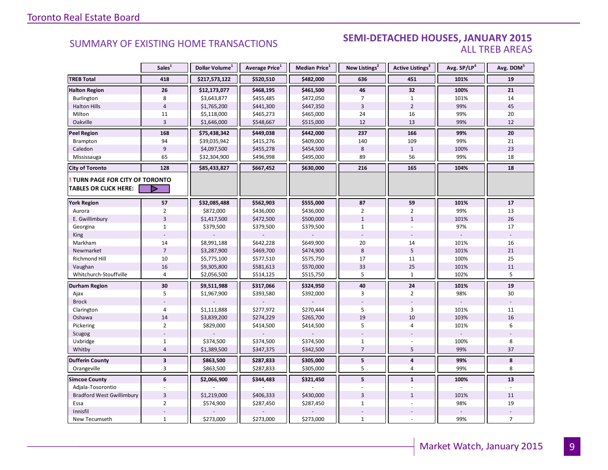#### **Industrial Leasing SUMMARY OF EXISTING HOME TRANSACTIONS SEMI-DETACHED HOUSES, JANUARY 2015** ALL TREB AREAS

|                                                               | Sales <sup>1</sup>            | Dollar Volume <sup>1</sup> | Average Price <sup>1</sup> | <b>Median Price</b> $1$ | New Listings <sup>2</sup>      | Active Listings <sup>3</sup> | Avg. SP/LP <sup>4</sup> | Avg. DOM <sup>5</sup> |
|---------------------------------------------------------------|-------------------------------|----------------------------|----------------------------|-------------------------|--------------------------------|------------------------------|-------------------------|-----------------------|
| <b>TREB Total</b>                                             | 418                           | \$217,573,122              | \$520,510                  | \$482,000               | 636                            | 451                          | 101%                    | 19                    |
| <b>Halton Region</b>                                          | 26                            | \$12,173,077               | \$468,195                  | \$461,500               | 46                             | 32                           | 100%                    | 21                    |
| Burlington                                                    | 8                             | \$3,643,877                | \$455,485                  | \$472,050               | $\overline{7}$                 | $\mathbf{1}$                 | 101%                    | 14                    |
| <b>Halton Hills</b>                                           | $\overline{4}$                | \$1,765,200                | \$441,300                  | \$447,350               | $\overline{3}$                 | $\overline{2}$               | 99%                     | 45                    |
| Milton                                                        | 11                            | \$5,118,000                | \$465,273                  | \$465,000               | 24                             | 16                           | 99%                     | 20                    |
| Oakville                                                      | $\overline{3}$                | \$1,646,000                | \$548,667                  | \$515,000               | 12                             | 13                           | 99%                     | 12                    |
| <b>Peel Region</b>                                            | 168                           | \$75,438,342               | \$449,038                  | \$442,000               | 237                            | 166                          | 99%                     | 20                    |
| Brampton                                                      | 94                            | \$39,035,942               | \$415,276                  | \$409,000               | 140                            | 109                          | 99%                     | 21                    |
| Caledon                                                       | $\overline{9}$                | \$4,097,500                | \$455,278                  | \$454,500               | 8                              | $\mathbf{1}$                 | 100%                    | 23                    |
| Mississauga                                                   | 65                            | \$32,304,900               | \$496,998                  | \$495,000               | 89                             | 56                           | 99%                     | 18                    |
| <b>City of Toronto</b>                                        | 128                           | \$85,433,827               | \$667,452                  | \$630,000               | 216                            | 165                          | 104%                    | 18                    |
| TURN PAGE FOR CITY OF TORONTO<br><b>TABLES OR CLICK HERE:</b> | D                             |                            |                            |                         |                                |                              |                         |                       |
|                                                               | 57                            |                            |                            |                         |                                |                              |                         |                       |
| <b>York Region</b>                                            |                               | \$32,085,488               | \$562,903                  | \$555,000               | 87                             | 59                           | 101%                    | 17                    |
| Aurora                                                        | $\mathbf 2$<br>$\overline{3}$ | \$872,000                  | \$436,000                  | \$436,000               | $\overline{2}$<br>$\mathbf{1}$ | $\overline{2}$               | 99%                     | 13                    |
| E. Gwillimbury                                                |                               | \$1,417,500                | \$472,500                  | \$500,000               |                                | $\mathbf{1}$                 | 101%                    | 26                    |
| Georgina                                                      | $\mathbf{1}$                  | \$379,500                  | \$379,500                  | \$379,500               | $\mathbf{1}$                   |                              | 97%                     | 17                    |
| King                                                          |                               |                            |                            |                         |                                |                              |                         |                       |
| Markham                                                       | 14                            | \$8,991,188                | \$642,228                  | \$649,900               | 20                             | 14                           | 101%                    | 16                    |
| Newmarket                                                     | $\overline{7}$                | \$3,287,900                | \$469,700                  | \$474,900               | $\bf 8$                        | 5                            | 101%                    | 21                    |
| Richmond Hill                                                 | 10                            | \$5,775,100                | \$577,510                  | \$575,750               | 17                             | 11                           | 100%                    | 25                    |
| Vaughan                                                       | 16                            | \$9,305,800                | \$581,613                  | \$570,000               | 33                             | 25                           | 101%                    | 11                    |
| Whitchurch-Stouffville                                        | $\overline{4}$                | \$2,056,500                | \$514,125                  | \$515,750               | 5                              | $\mathbf{1}$                 | 102%                    | 5                     |
| Durham Region                                                 | 30                            | \$9,511,988                | \$317,066                  | \$324,950               | 40                             | 24                           | 101%                    | 19                    |
| Ajax                                                          | 5                             | \$1,967,900                | \$393,580                  | \$392,000               | 3                              | $\overline{2}$               | 98%                     | 30                    |
| <b>Brock</b>                                                  |                               |                            |                            |                         |                                |                              |                         |                       |
| Clarington                                                    | $\overline{4}$                | \$1,111,888                | \$277,972                  | \$270,444               | 5                              | $\overline{3}$               | 101%                    | 11                    |
| Oshawa                                                        | 14                            | \$3,839,200                | \$274,229                  | \$265,700               | 19                             | 10                           | 103%                    | 16                    |
| Pickering                                                     | $\overline{2}$                | \$829,000                  | \$414,500                  | \$414,500               | 5                              | $\overline{4}$               | 101%                    | 6                     |
| Scugog                                                        |                               |                            |                            |                         |                                |                              |                         |                       |
| Uxbridge                                                      | $\mathbf 1$                   | \$374,500                  | \$374,500                  | \$374,500               | $\mathbf 1$                    |                              | 100%                    | 8                     |
| Whitby                                                        | $\overline{4}$                | \$1,389,500                | \$347,375                  | \$342,500               | $\overline{7}$                 | 5                            | 99%                     | 37                    |
| <b>Dufferin County</b>                                        | $\mathbf{3}$                  | \$863,500                  | \$287,833                  | \$305,000               | 5                              | $\pmb{4}$                    | 99%                     | 8                     |
| Orangeville                                                   | 3                             | \$863,500                  | \$287,833                  | \$305,000               | 5                              | $\overline{4}$               | 99%                     | 8                     |
| <b>Simcoe County</b>                                          | 6                             | \$2,066,900                | \$344,483                  | \$321,450               | 5                              | $\mathbf{1}$                 | 100%                    | 13                    |
| Adjala-Tosorontio                                             |                               |                            |                            |                         |                                |                              |                         |                       |
| <b>Bradford West Gwillimbury</b>                              | $\overline{3}$                | \$1,219,000                | \$406,333                  | \$430,000               | $\overline{3}$                 | $\mathbf{1}$                 | 101%                    | 11                    |
| Essa                                                          | $\overline{2}$                | \$574,900                  | \$287,450                  | \$287,450               | $\mathbf{1}$                   | $\sim$                       | 98%                     | 19                    |
| Innisfil                                                      |                               |                            |                            |                         |                                |                              |                         |                       |
| New Tecumseth                                                 | $1\,$                         | \$273,000                  | \$273,000                  | \$273,000               | $\mathbf{1}$                   |                              | 99%                     | $\overline{7}$        |

**Page 3 July 2010**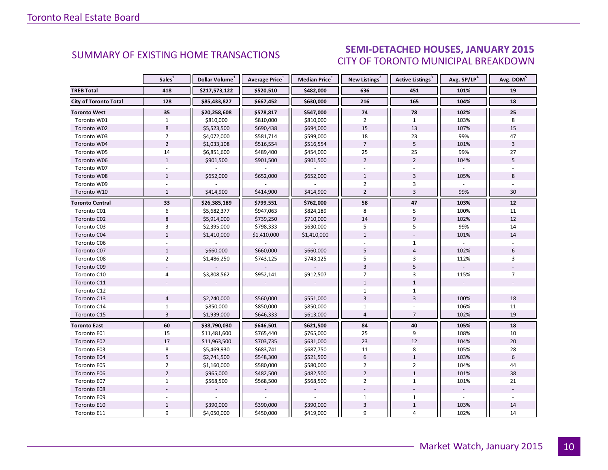### SEMI-DETACHED HOUSES, JANUARY 2015 CITY OF TORONTO MUNICIPAL BREAKDOWN

<span id="page-9-0"></span>

|                              | Sales <sup>1</sup> | Dollar Volume <sup>1</sup> | Average Price <sup>1</sup> | Median Price <sup>1</sup> | New Listings <sup>2</sup> | Active Listings <sup>3</sup> | Avg. SP/LP <sup>4</sup> | Avg. DOM <sup>5</sup> |
|------------------------------|--------------------|----------------------------|----------------------------|---------------------------|---------------------------|------------------------------|-------------------------|-----------------------|
| <b>TREB Total</b>            | 418                | \$217,573,122              | \$520,510                  | \$482,000                 | 636                       | 451                          | 101%                    | 19                    |
| <b>City of Toronto Total</b> | 128                | \$85,433,827               | \$667,452                  | \$630,000                 | 216                       | 165                          | 104%                    | 18                    |
| <b>Toronto West</b>          | 35                 | \$20,258,608               | \$578,817                  | \$547,000                 | 74                        | 78                           | 102%                    | 25                    |
| Toronto W01                  | $\mathbf{1}$       | \$810,000                  | \$810,000                  | \$810,000                 | $\overline{2}$            | $\mathbf{1}$                 | 103%                    | 8                     |
| Toronto W02                  | $\,8\,$            | \$5,523,500                | \$690,438                  | \$694,000                 | 15                        | 13                           | 107%                    | 15                    |
| Toronto W03                  | $\overline{7}$     | \$4,072,000                | \$581,714                  | \$599,000                 | 18                        | 23                           | 99%                     | 47                    |
| Toronto W04                  | $\overline{2}$     | \$1,033,108                | \$516,554                  | \$516,554                 | $\overline{7}$            | 5                            | 101%                    | $\overline{3}$        |
| Toronto W05                  | 14                 | \$6,851,600                | \$489,400                  | \$454,000                 | 25                        | 25                           | 99%                     | 27                    |
| Toronto W06                  | $\mathbf{1}$       | \$901,500                  | \$901,500                  | \$901,500                 | $\overline{2}$            | $\overline{2}$               | 104%                    | 5                     |
| Toronto W07                  | $\sim$             |                            |                            |                           | $\mathbf{r}$              |                              |                         |                       |
| Toronto W08                  | $\mathbf{1}$       | \$652,000                  | \$652,000                  | \$652,000                 | $\mathbf{1}$              | $\overline{3}$               | 105%                    | 8                     |
| Toronto W09                  |                    |                            |                            |                           | $\overline{2}$            | 3                            |                         |                       |
| Toronto W10                  | $\mathbf{1}$       | \$414,900                  | \$414,900                  | \$414,900                 | $\overline{2}$            | $\overline{3}$               | 99%                     | 30                    |
| <b>Toronto Central</b>       | 33                 | \$26,385,189               | \$799,551                  | \$762,000                 | 58                        | 47                           | 103%                    | $12$                  |
| Toronto C01                  | 6                  | \$5,682,377                | \$947,063                  | \$824,189                 | 8                         | 5                            | 100%                    | 11                    |
| Toronto C02                  | 8                  | \$5,914,000                | \$739,250                  | \$710,000                 | 14                        | $\overline{9}$               | 102%                    | 12                    |
| Toronto C03                  | 3                  | \$2,395,000                | \$798,333                  | \$630,000                 | 5                         | 5                            | 99%                     | 14                    |
| Toronto C04                  | $\mathbf{1}$       | \$1,410,000                | \$1,410,000                | \$1,410,000               | $\mathbf{1}$              |                              | 101%                    | 14                    |
| Toronto C06                  |                    |                            |                            |                           |                           | $\mathbf{1}$                 |                         |                       |
| Toronto C07                  | $\mathbf{1}$       | \$660,000                  | \$660,000                  | \$660,000                 | 5                         | $\overline{4}$               | 102%                    | 6                     |
| Toronto C08                  | $\overline{2}$     | \$1,486,250                | \$743,125                  | \$743,125                 | 5                         | 3                            | 112%                    | 3                     |
| Toronto C09                  |                    |                            |                            |                           | $\overline{3}$            | 5                            |                         |                       |
| Toronto C10                  | $\overline{4}$     | \$3,808,562                | \$952,141                  | \$912,507                 | $\overline{7}$            | 3                            | 115%                    | $\overline{7}$        |
| Toronto C11                  |                    |                            |                            |                           | $\mathbf{1}$              | $\mathbf{1}$                 |                         |                       |
| Toronto C12                  |                    |                            |                            |                           | $\mathbf{1}$              | $\mathbf{1}$                 |                         |                       |
| Toronto C13                  | $\overline{4}$     | \$2,240,000                | \$560,000                  | \$551,000                 | 3                         | $\overline{3}$               | 100%                    | 18                    |
| Toronto C14                  | $\mathbf{1}$       | \$850,000                  | \$850,000                  | \$850,000                 | $\mathbf{1}$              |                              | 106%                    | 11                    |
| Toronto C15                  | $\overline{3}$     | \$1,939,000                | \$646,333                  | \$613,000                 | $\overline{4}$            | $\overline{7}$               | 102%                    | 19                    |
| <b>Toronto East</b>          | 60                 | \$38,790,030               | \$646,501                  | \$621,500                 | 84                        | 40                           | 105%                    | 18                    |
| Toronto E01                  | 15                 | \$11,481,600               | \$765,440                  | \$765,000                 | 25                        | 9                            | 108%                    | 10                    |
| Toronto E02                  | $17\,$             | \$11,963,500               | \$703,735                  | \$631,000                 | 23                        | 12                           | 104%                    | 20                    |
| Toronto E03                  | 8                  | \$5,469,930                | \$683,741                  | \$687,750                 | 11                        | 8                            | 105%                    | 28                    |
| Toronto E04                  | 5                  | \$2,741,500                | \$548,300                  | \$521,500                 | $6\,$                     | $\mathbf{1}$                 | 103%                    | $\boldsymbol{6}$      |
| Toronto E05                  | $\overline{2}$     | \$1,160,000                | \$580,000                  | \$580,000                 | $\overline{2}$            | $\overline{2}$               | 104%                    | 44                    |
| Toronto E06                  | $\overline{2}$     | \$965,000                  | \$482,500                  | \$482,500                 | $\overline{2}$            | $\mathbf{1}$                 | 101%                    | 38                    |
| Toronto E07                  | $\mathbf{1}$       | \$568,500                  | \$568,500                  | \$568,500                 | $\overline{2}$            | $\mathbf{1}$                 | 101%                    | 21                    |
| Toronto E08                  |                    |                            |                            |                           |                           |                              |                         |                       |
| Toronto E09                  |                    |                            |                            |                           | $\mathbf{1}$              | $\mathbf{1}$                 | $\omega$                |                       |
| Toronto E10                  | $\mathbf{1}$       | \$390,000                  | \$390,000                  | \$390,000                 | $\overline{3}$            | $\,1\,$                      | 103%                    | 14                    |
| Toronto E11                  | 9                  | \$4,050,000                | \$450,000                  | \$419,000                 | 9                         | 4                            | 102%                    | 14                    |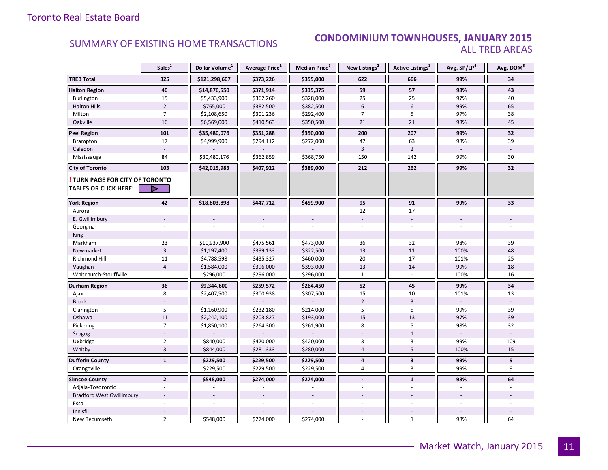#### SUMMARY OF EXISTING HOME TRANSACTIONS **CONDOMINIUM TOWNHOUSES, JANUARY 2015** ALL TREB AREAS

|                                                               | Sales <sup>1</sup> | Dollar Volume <sup>1</sup> | Average Price <sup>1</sup> | Median Price <sup>1</sup> | New Listings <sup>2</sup> | Active Listings <sup>3</sup> | Avg. SP/LP <sup>4</sup> | Avg. DOM <sup>5</sup> |
|---------------------------------------------------------------|--------------------|----------------------------|----------------------------|---------------------------|---------------------------|------------------------------|-------------------------|-----------------------|
| <b>TREB Total</b>                                             | 325                | \$121,298,607              | \$373,226                  | \$355,000                 | 622                       | 666                          | 99%                     | 34                    |
| <b>Halton Region</b>                                          | 40                 | \$14,876,550               | \$371,914                  | \$335,375                 | 59                        | 57                           | 98%                     | 43                    |
| Burlington                                                    | 15                 | \$5,433,900                | \$362,260                  | \$328,000                 | 25                        | 25                           | 97%                     | 40                    |
| <b>Halton Hills</b>                                           | $\overline{2}$     | \$765,000                  | \$382,500                  | \$382,500                 | $6\phantom{a}$            | 6                            | 99%                     | 65                    |
| Milton                                                        | $\overline{7}$     | \$2,108,650                | \$301,236                  | \$292,400                 | $\overline{7}$            | 5                            | 97%                     | 38                    |
| Oakville                                                      | 16                 | \$6,569,000                | \$410,563                  | \$350,500                 | 21                        | 21                           | 98%                     | 45                    |
| <b>Peel Region</b>                                            | 101                | \$35,480,076               | \$351,288                  | \$350,000                 | 200                       | 207                          | 99%                     | 32                    |
| Brampton                                                      | 17                 | \$4,999,900                | \$294,112                  | \$272,000                 | 47                        | 63                           | 98%                     | 39                    |
| Caledon                                                       |                    |                            |                            |                           | 3                         | $\overline{2}$               |                         |                       |
| Mississauga                                                   | 84                 | \$30,480,176               | \$362,859                  | \$368,750                 | 150                       | 142                          | 99%                     | 30                    |
| <b>City of Toronto</b>                                        | 103                | \$42,015,983               | \$407,922                  | \$389,000                 | 212                       | 262                          | 99%                     | 32                    |
| TURN PAGE FOR CITY OF TORONTO<br><b>TABLES OR CLICK HERE:</b> | D                  |                            |                            |                           |                           |                              |                         |                       |
| <b>York Region</b>                                            | 42                 | \$18,803,898               | \$447,712                  | \$459,900                 | 95                        | 91                           | 99%                     | 33                    |
| Aurora                                                        |                    |                            |                            |                           | 12                        | 17                           |                         |                       |
|                                                               |                    |                            |                            |                           |                           |                              |                         |                       |
| E. Gwillimbury                                                |                    |                            |                            |                           |                           |                              |                         |                       |
| Georgina                                                      |                    |                            |                            |                           |                           |                              |                         |                       |
| King<br>Markham                                               | 23                 | \$10,937,900               | \$475,561                  | \$473,000                 | 36                        | 32                           | 98%                     | 39                    |
| Newmarket                                                     | $\overline{3}$     | \$1,197,400                | \$399,133                  | \$322,500                 | 13                        | 11                           | 100%                    | 48                    |
| <b>Richmond Hill</b>                                          | 11                 | \$4,788,598                | \$435,327                  | \$460,000                 | 20                        | 17                           | 101%                    | 25                    |
| Vaughan                                                       | $\overline{4}$     | \$1,584,000                | \$396,000                  | \$393,000                 | 13                        | 14                           | 99%                     | 18                    |
| Whitchurch-Stouffville                                        | $\mathbf{1}$       | \$296,000                  | \$296,000                  | \$296,000                 | $\mathbf{1}$              |                              | 100%                    | 16                    |
|                                                               | 36                 | \$9,344,600                | \$259,572                  | \$264,450                 | 52                        | 45                           | 99%                     | 34                    |
| <b>Durham Region</b><br>Ajax                                  | 8                  | \$2,407,500                | \$300,938                  | \$307,500                 | 15                        | 10                           | 101%                    | 13                    |
| <b>Brock</b>                                                  |                    |                            |                            |                           | $\overline{2}$            | $\overline{3}$               |                         |                       |
| Clarington                                                    | 5                  | \$1,160,900                | \$232,180                  | \$214,000                 | 5                         | 5                            | 99%                     | 39                    |
| Oshawa                                                        | 11                 | \$2,242,100                | \$203,827                  | \$193,000                 | 15                        | 13                           | 97%                     | 39                    |
| Pickering                                                     | $\overline{7}$     | \$1,850,100                | \$264,300                  | \$261,900                 | 8                         | 5                            | 98%                     | 32                    |
| Scugog                                                        |                    |                            |                            |                           |                           | $\mathbf{1}$                 |                         |                       |
| Uxbridge                                                      | $\overline{2}$     | \$840,000                  | \$420,000                  | \$420,000                 | 3                         | 3                            | 99%                     | 109                   |
| Whitby                                                        | $\overline{3}$     | \$844,000                  | \$281,333                  | \$280,000                 | $\overline{4}$            | 5                            | 100%                    | 15                    |
| <b>Dufferin County</b>                                        | $\mathbf 1$        | \$229,500                  | \$229,500                  | \$229,500                 | 4                         | $\overline{\mathbf{3}}$      | 99%                     | 9                     |
| Orangeville                                                   | $\mathbf{1}$       | \$229,500                  | \$229,500                  | \$229,500                 | 4                         | 3                            | 99%                     | 9                     |
| <b>Simcoe County</b>                                          | $\overline{2}$     | \$548,000                  | \$274,000                  | \$274,000                 | $\sim$                    | $\mathbf{1}$                 | 98%                     | 64                    |
| Adjala-Tosorontio                                             |                    |                            |                            |                           |                           |                              |                         |                       |
| <b>Bradford West Gwillimbury</b>                              |                    |                            |                            |                           |                           |                              |                         |                       |
| Essa                                                          |                    |                            |                            |                           |                           |                              | $\overline{a}$          |                       |
| Innisfil                                                      |                    |                            |                            |                           |                           |                              |                         |                       |
| New Tecumseth                                                 | $\overline{2}$     | \$548,000                  | \$274,000                  | \$274,000                 |                           | $\mathbf{1}$                 | 98%                     | 64                    |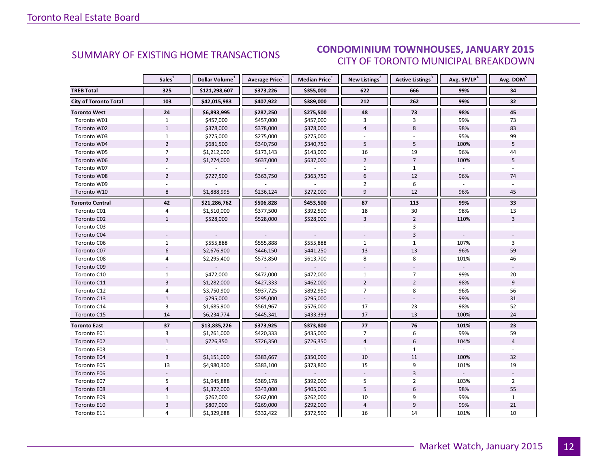#### IANIIARV 2015 CITY OF TORONTO MUNICIPAL BREAKDOWN SUMMARY OF EXISTING HOME TRANSACTIONS **CONDOMINIUM TOWNHOUSES, JANUARY 2015**

<span id="page-11-0"></span>

|                              | Sales <sup>1</sup> | Dollar Volume <sup>1</sup> | Average Price <sup>1</sup> | Median Price <sup>1</sup> | New Listings <sup>2</sup> | Active Listings <sup>3</sup> | Avg. SP/LP <sup>4</sup> | Avg. DOM <sup>5</sup> |
|------------------------------|--------------------|----------------------------|----------------------------|---------------------------|---------------------------|------------------------------|-------------------------|-----------------------|
| <b>TREB Total</b>            | 325                | \$121,298,607              | \$373,226                  | \$355,000                 | 622                       | 666                          | 99%                     | 34                    |
| <b>City of Toronto Total</b> | 103                | \$42,015,983               | \$407,922                  | \$389,000                 | 212                       | 262                          | 99%                     | 32                    |
| <b>Toronto West</b>          | 24                 | \$6,893,995                | \$287,250                  | \$275,500                 | 48                        | 73                           | 98%                     | 45                    |
| Toronto W01                  | $\mathbf{1}$       | \$457,000                  | \$457,000                  | \$457,000                 | 3                         | 3                            | 99%                     | 73                    |
| Toronto W02                  | $\mathbf{1}$       | \$378,000                  | \$378,000                  | \$378,000                 | $\overline{4}$            | 8                            | 98%                     | 83                    |
| Toronto W03                  | $\mathbf{1}$       | \$275,000                  | \$275,000                  | \$275,000                 |                           |                              | 95%                     | 99                    |
| Toronto W04                  | $\overline{2}$     | \$681,500                  | \$340,750                  | \$340,750                 | 5                         | 5                            | 100%                    | 5                     |
| Toronto W05                  | $\overline{7}$     | \$1,212,000                | \$173,143                  | \$143,000                 | 16                        | 19                           | 96%                     | 44                    |
| Toronto W06                  | $\overline{2}$     | \$1,274,000                | \$637,000                  | \$637,000                 | $\overline{2}$            | $\overline{7}$               | 100%                    | 5                     |
| Toronto W07                  |                    |                            |                            |                           | $\mathbf{1}$              | $\mathbf{1}$                 |                         |                       |
| Toronto W08                  | $\overline{2}$     | \$727,500                  | \$363,750                  | \$363,750                 | 6                         | 12                           | 96%                     | 74                    |
| Toronto W09                  |                    |                            |                            |                           | $\overline{2}$            | 6                            |                         |                       |
| Toronto W10                  | 8                  | \$1,888,995                | \$236,124                  | \$272,000                 | 9                         | 12                           | 96%                     | 45                    |
| <b>Toronto Central</b>       | 42                 | \$21,286,762               | \$506,828                  | \$453,500                 | 87                        | 113                          | 99%                     | 33                    |
| Toronto C01                  | $\overline{4}$     | \$1,510,000                | \$377,500                  | \$392,500                 | 18                        | 30                           | 98%                     | 13                    |
| Toronto C02                  | $\mathbf{1}$       | \$528,000                  | \$528,000                  | \$528,000                 | $\overline{3}$            | $\overline{2}$               | 110%                    | $\overline{3}$        |
| Toronto C03                  |                    |                            |                            |                           |                           | 3                            |                         |                       |
| Toronto C04                  |                    |                            |                            |                           |                           | $\overline{3}$               |                         |                       |
| Toronto C06                  | $\mathbf{1}$       | \$555,888                  | \$555,888                  | \$555,888                 | $\mathbf{1}$              | $\mathbf 1$                  | 107%                    | 3                     |
| Toronto C07                  | 6                  | \$2,676,900                | \$446,150                  | \$441,250                 | 13                        | 13                           | 96%                     | 59                    |
| Toronto C08                  | $\overline{4}$     | \$2,295,400                | \$573,850                  | \$613,700                 | 8                         | 8                            | 101%                    | 46                    |
| Toronto C09                  |                    |                            |                            |                           |                           |                              |                         |                       |
| Toronto C10                  | $\mathbf{1}$       | \$472,000                  | \$472,000                  | \$472,000                 | $\mathbf{1}$              | $\overline{7}$               | 99%                     | 20                    |
| Toronto C11                  | $\overline{3}$     | \$1,282,000                | \$427,333                  | \$462,000                 | $\overline{2}$            | $\overline{2}$               | 98%                     | 9                     |
| Toronto C12                  | 4                  | \$3,750,900                | \$937,725                  | \$892,950                 | $\overline{7}$            | 8                            | 96%                     | 56                    |
| Toronto C13                  | $1\,$              | \$295,000                  | \$295,000                  | \$295,000                 |                           |                              | 99%                     | 31                    |
| Toronto C14                  | $\overline{3}$     | \$1,685,900                | \$561,967                  | \$576,000                 | 17                        | 23                           | 98%                     | 52                    |
| Toronto C15                  | 14                 | \$6,234,774                | \$445,341                  | \$433,393                 | 17                        | 13                           | 100%                    | 24                    |
| <b>Toronto East</b>          | $\overline{37}$    | \$13,835,226               | \$373,925                  | \$373,800                 | 77                        | 76                           | 101%                    | 23                    |
| Toronto E01                  | 3                  | \$1,261,000                | \$420,333                  | \$435,000                 | $\overline{7}$            | 6                            | 99%                     | 59                    |
| Toronto E02                  | $\mathbf{1}$       | \$726,350                  | \$726,350                  | \$726,350                 | $\overline{4}$            | $6\overline{6}$              | 104%                    | $\overline{4}$        |
| Toronto E03                  |                    |                            |                            |                           | $\mathbf{1}$              | $\mathbf{1}$                 |                         |                       |
| Toronto E04                  | $\overline{3}$     | \$1,151,000                | \$383,667                  | \$350,000                 | 10                        | 11                           | 100%                    | 32                    |
| Toronto E05                  | 13                 | \$4,980,300                | \$383,100                  | \$373,800                 | 15                        | 9                            | 101%                    | 19                    |
| Toronto E06                  |                    |                            |                            |                           |                           | $\overline{3}$               |                         |                       |
| Toronto E07                  | 5                  | \$1,945,888                | \$389,178                  | \$392,000                 | 5                         | $\overline{2}$               | 103%                    | $\overline{2}$        |
| Toronto E08                  | $\overline{4}$     | \$1,372,000                | \$343,000                  | \$405,000                 | 5                         | $6\phantom{1}$               | 98%                     | 55                    |
| Toronto E09                  | $\mathbf{1}$       | \$262,000                  | \$262,000                  | \$262,000                 | 10                        | 9                            | 99%                     | $\mathbf{1}$          |
| Toronto E10                  | $\overline{3}$     | \$807,000                  | \$269,000                  | \$292,000                 | $\sqrt{4}$                | $\boldsymbol{9}$             | 99%                     | 21                    |
| Toronto E11                  | 4                  | \$1,329,688                | \$332,422                  | \$372,500                 | 16                        | 14                           | 101%                    | 10                    |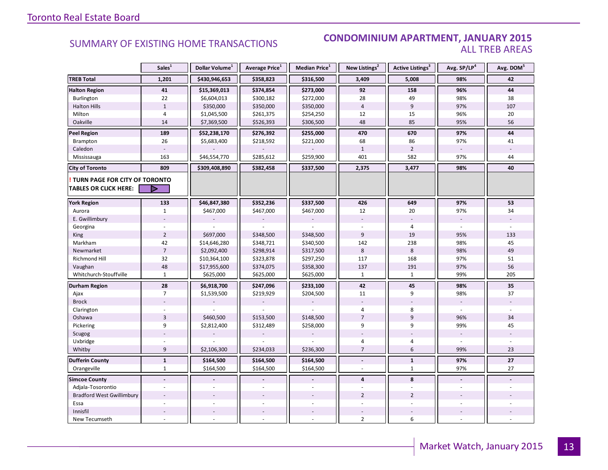#### **Industrial Leasing SUMMARY OF EXISTING HOME TRANSACTIONS CONDOMINIUM APARTMENT, JANUARY 2015** ALL TREB AREAS

|                                  | Sales <sup>1</sup>       | Dollar Volume <sup>1</sup> | Average Price <sup>1</sup> | <b>Median Price</b> $1$ | New Listings <sup>2</sup> | Active Listings <sup>3</sup> | Avg. SP/LP <sup>4</sup> | Avg. DOM <sup>5</sup> |
|----------------------------------|--------------------------|----------------------------|----------------------------|-------------------------|---------------------------|------------------------------|-------------------------|-----------------------|
| <b>TREB Total</b>                | 1,201                    | \$430,946,653              | \$358,823                  | \$316,500               | 3,409                     | 5,008                        | 98%                     | 42                    |
| <b>Halton Region</b>             | 41                       | \$15,369,013               | \$374,854                  | \$273,000               | 92                        | 158                          | 96%                     | 44                    |
| Burlington                       | 22                       | \$6,604,013                | \$300,182                  | \$272,000               | 28                        | 49                           | 98%                     | 38                    |
| <b>Halton Hills</b>              | $1\,$                    | \$350,000                  | \$350,000                  | \$350,000               | $\overline{4}$            | $\overline{9}$               | 97%                     | 107                   |
| Milton                           | $\sqrt{4}$               | \$1,045,500                | \$261,375                  | \$254,250               | 12                        | 15                           | 96%                     | 20                    |
| Oakville                         | 14                       | \$7,369,500                | \$526,393                  | \$306,500               | 48                        | 85                           | 95%                     | 56                    |
| <b>Peel Region</b>               | 189                      | \$52,238,170               | \$276,392                  | \$255,000               | 470                       | 670                          | 97%                     | 44                    |
| Brampton                         | 26                       | \$5,683,400                | \$218,592                  | \$221,000               | 68                        | 86                           | 97%                     | 41                    |
| Caledon                          |                          |                            |                            |                         | $\mathbf{1}$              | $\overline{2}$               |                         |                       |
| Mississauga                      | 163                      | \$46,554,770               | \$285,612                  | \$259,900               | 401                       | 582                          | 97%                     | 44                    |
| <b>City of Toronto</b>           | 809                      | \$309,408,890              | \$382,458                  | \$337,500               | 2,375                     | 3,477                        | 98%                     | 40                    |
| TURN PAGE FOR CITY OF TORONTO    |                          |                            |                            |                         |                           |                              |                         |                       |
| <b>TABLES OR CLICK HERE:</b>     | Þ                        |                            |                            |                         |                           |                              |                         |                       |
| <b>York Region</b>               | 133                      | \$46,847,380               | \$352,236                  | \$337,500               | 426                       | 649                          | 97%                     | 53                    |
| Aurora                           | $\mathbf{1}$             | \$467,000                  | \$467,000                  | \$467,000               | 12                        | 20                           | 97%                     | 34                    |
| E. Gwillimbury                   |                          |                            |                            |                         |                           |                              |                         |                       |
| Georgina                         |                          |                            |                            |                         |                           | $\overline{4}$               |                         |                       |
| King                             | $\overline{2}$           | \$697,000                  | \$348,500                  | \$348,500               | $\overline{9}$            | 19                           | 95%                     | 133                   |
| Markham                          | 42                       | \$14,646,280               | \$348,721                  | \$340,500               | 142                       | 238                          | 98%                     | 45                    |
| Newmarket                        | $\overline{7}$           | \$2,092,400                | \$298,914                  | \$317,500               | 8                         | 8                            | 98%                     | 49                    |
| Richmond Hill                    | 32                       | \$10,364,100               | \$323,878                  | \$297,250               | 117                       | 168                          | 97%                     | 51                    |
| Vaughan                          | 48                       | \$17,955,600               | \$374,075                  | \$358,300               | 137                       | 191                          | 97%                     | 56                    |
| Whitchurch-Stouffville           | $\mathbf{1}$             | \$625,000                  | \$625,000                  | \$625,000               | $\mathbf{1}$              | $\mathbf{1}$                 | 99%                     | 205                   |
| Durham Region                    | 28                       | \$6,918,700                | \$247,096                  | \$233,100               | 42                        | 45                           | 98%                     | 35                    |
| Ajax                             | $\overline{7}$           | \$1,539,500                | \$219,929                  | \$204,500               | 11                        | 9                            | 98%                     | 37                    |
| <b>Brock</b>                     |                          |                            |                            |                         |                           |                              |                         |                       |
| Clarington                       |                          |                            |                            |                         | 4                         | 8                            |                         |                       |
| Oshawa                           | $\overline{3}$           | \$460,500                  | \$153,500                  | \$148,500               | $\overline{7}$            | $\overline{9}$               | 96%                     | 34                    |
| Pickering                        | 9                        | \$2,812,400                | \$312,489                  | \$258,000               | 9                         | 9                            | 99%                     | 45                    |
| Scugog                           |                          |                            |                            |                         |                           |                              |                         |                       |
| Uxbridge                         |                          |                            |                            |                         | 4                         | $\overline{4}$               |                         |                       |
| Whitby                           | 9                        | \$2,106,300                | \$234,033                  | \$236,300               | $\overline{7}$            | 6                            | 99%                     | 23                    |
| <b>Dufferin County</b>           | $\mathbf 1$              | \$164,500                  | \$164,500                  | \$164,500               | $\overline{a}$            | $\mathbf 1$                  | 97%                     | $27\,$                |
| Orangeville                      | $\mathbf{1}$             | \$164,500                  | \$164,500                  | \$164,500               | $\overline{a}$            | $\mathbf{1}$                 | 97%                     | 27                    |
| <b>Simcoe County</b>             | $\blacksquare$           |                            |                            |                         | $\overline{4}$            | 8                            | $\sim$                  |                       |
| Adjala-Tosorontio                |                          |                            |                            |                         |                           |                              |                         |                       |
| <b>Bradford West Gwillimbury</b> |                          |                            |                            |                         | $\overline{2}$            | $\overline{2}$               |                         |                       |
| Essa                             |                          |                            |                            |                         |                           |                              |                         |                       |
| Innisfil                         |                          |                            |                            |                         |                           |                              |                         |                       |
| New Tecumseth                    | $\overline{\phantom{a}}$ |                            |                            |                         | $\overline{2}$            | 6                            |                         |                       |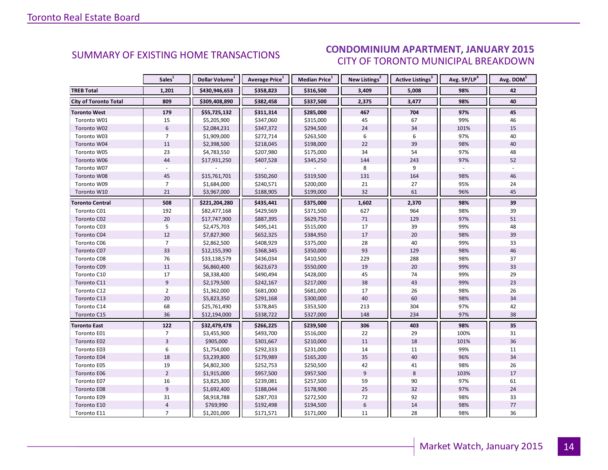#### IANIIARV 2015 CITY OF TORONTO MUNICIPAL BREAKDOWN SUMMARY OF EXISTING HOME TRANSACTIONS **CONDOMINIUM APARTMENT, JANUARY 2015**

<span id="page-13-0"></span>

|                              | Sales <sup>1</sup> | Dollar Volume <sup>1</sup> | Average Price <sup>1</sup> | Median Price <sup>1</sup> | New Listings <sup>2</sup> | Active Listings <sup>3</sup> | Avg. SP/LP <sup>4</sup> | Avg. DOM <sup>5</sup> |
|------------------------------|--------------------|----------------------------|----------------------------|---------------------------|---------------------------|------------------------------|-------------------------|-----------------------|
| <b>TREB Total</b>            | 1,201              | \$430,946,653              | \$358,823                  | \$316,500                 | 3,409                     | 5,008                        | 98%                     | 42                    |
| <b>City of Toronto Total</b> | 809                | \$309,408,890              | \$382,458                  | \$337,500                 | 2,375                     | 3,477                        | 98%                     | 40                    |
| <b>Toronto West</b>          | 179                | \$55,725,132               | \$311,314                  | \$285,000                 | 467                       | 704                          | 97%                     | 45                    |
| Toronto W01                  | 15                 | \$5,205,900                | \$347,060                  | \$315,000                 | 45                        | 67                           | 99%                     | 46                    |
| Toronto W02                  | $6\phantom{a}$     | \$2,084,231                | \$347,372                  | \$294,500                 | 24                        | 34                           | 101%                    | 15                    |
| Toronto W03                  | $\overline{7}$     | \$1,909,000                | \$272,714                  | \$263,500                 | 6                         | 6                            | 97%                     | 40                    |
| Toronto W04                  | 11                 | \$2,398,500                | \$218,045                  | \$198,000                 | 22                        | 39                           | 98%                     | 40                    |
| Toronto W05                  | 23                 | \$4,783,550                | \$207,980                  | \$175,000                 | 34                        | 54                           | 97%                     | 48                    |
| Toronto W06                  | 44                 | \$17,931,250               | \$407,528                  | \$345,250                 | 144                       | 243                          | 97%                     | 52                    |
| Toronto W07                  |                    |                            |                            |                           | 8                         | 9                            |                         |                       |
| Toronto W08                  | 45                 | \$15,761,701               | \$350,260                  | \$319,500                 | 131                       | 164                          | 98%                     | 46                    |
| Toronto W09                  | $\overline{7}$     | \$1,684,000                | \$240,571                  | \$200,000                 | 21                        | 27                           | 95%                     | 24                    |
| Toronto W10                  | 21                 | \$3,967,000                | \$188,905                  | \$199,000                 | 32                        | 61                           | 96%                     | 45                    |
| <b>Toronto Central</b>       | 508                | \$221,204,280              | \$435,441                  | \$375,000                 | 1,602                     | 2,370                        | 98%                     | 39                    |
| Toronto C01                  | 192                | \$82,477,168               | \$429,569                  | \$371,500                 | 627                       | 964                          | 98%                     | 39                    |
| Toronto C02                  | 20                 | \$17,747,900               | \$887,395                  | \$629,750                 | $71\,$                    | 129                          | 97%                     | 51                    |
| Toronto C03                  | 5                  | \$2,475,703                | \$495,141                  | \$515,000                 | 17                        | 39                           | 99%                     | 48                    |
| Toronto C04                  | 12                 | \$7,827,900                | \$652,325                  | \$384,950                 | 17                        | 20                           | 98%                     | 39                    |
| Toronto C06                  | $\overline{7}$     | \$2,862,500                | \$408,929                  | \$375,000                 | 28                        | 40                           | 99%                     | 33                    |
| Toronto C07                  | 33                 | \$12,155,390               | \$368,345                  | \$350,000                 | 93                        | 129                          | 98%                     | 46                    |
| Toronto C08                  | 76                 | \$33,138,579               | \$436,034                  | \$410,500                 | 229                       | 288                          | 98%                     | 37                    |
| Toronto C09                  | 11                 | \$6,860,400                | \$623,673                  | \$550,000                 | 19                        | 20                           | 99%                     | 33                    |
| Toronto C10                  | 17                 | \$8,338,400                | \$490,494                  | \$428,000                 | 45                        | 74                           | 99%                     | 29                    |
| Toronto C11                  | 9                  | \$2,179,500                | \$242,167                  | \$217,000                 | 38                        | 43                           | 99%                     | 23                    |
| Toronto C12                  | $\overline{2}$     | \$1,362,000                | \$681,000                  | \$681,000                 | 17                        | 26                           | 98%                     | 26                    |
| Toronto C13                  | 20                 | \$5,823,350                | \$291,168                  | \$300,000                 | 40                        | 60                           | 98%                     | 34                    |
| Toronto C14                  | 68                 | \$25,761,490               | \$378,845                  | \$353,500                 | 213                       | 304                          | 97%                     | 42                    |
| Toronto C15                  | 36                 | \$12,194,000               | \$338,722                  | \$327,000                 | 148                       | 234                          | 97%                     | 38                    |
| Toronto East                 | 122                | \$32,479,478               | \$266,225                  | \$239,500                 | 306                       | 403                          | 98%                     | 35                    |
| Toronto E01                  | $\overline{7}$     | \$3,455,900                | \$493,700                  | \$516,000                 | 22                        | 29                           | 100%                    | 31                    |
| Toronto E02                  | $\overline{3}$     | \$905,000                  | \$301,667                  | \$210,000                 | 11                        | 18                           | 101%                    | 36                    |
| Toronto E03                  | 6                  | \$1,754,000                | \$292,333                  | \$231,000                 | 14                        | 11                           | 99%                     | 11                    |
| Toronto E04                  | 18                 | \$3,239,800                | \$179,989                  | \$165,200                 | 35                        | 40                           | 96%                     | 34                    |
| Toronto E05                  | 19                 | \$4,802,300                | \$252,753                  | \$250,500                 | 42                        | 41                           | 98%                     | 26                    |
| Toronto E06                  | $\overline{2}$     | \$1,915,000                | \$957,500                  | \$957,500                 | 9                         | 8                            | 103%                    | 17                    |
| Toronto E07                  | 16                 | \$3,825,300                | \$239,081                  | \$257,500                 | 59                        | 90                           | 97%                     | 61                    |
| Toronto E08                  | $\overline{9}$     | \$1,692,400                | \$188,044                  | \$178,900                 | 25                        | 32                           | 97%                     | 24                    |
| Toronto E09                  | 31                 | \$8,918,788                | \$287,703                  | \$272,500                 | 72                        | 92                           | 98%                     | 33                    |
| Toronto E10                  | $\sqrt{4}$         | \$769,990                  | \$192,498                  | \$194,500                 | $\boldsymbol{6}$          | 14                           | 98%                     | 77                    |
| Toronto E11                  | $\overline{7}$     | \$1,201,000                | \$171,571                  | \$171,000                 | 11                        | 28                           | 98%                     | 36                    |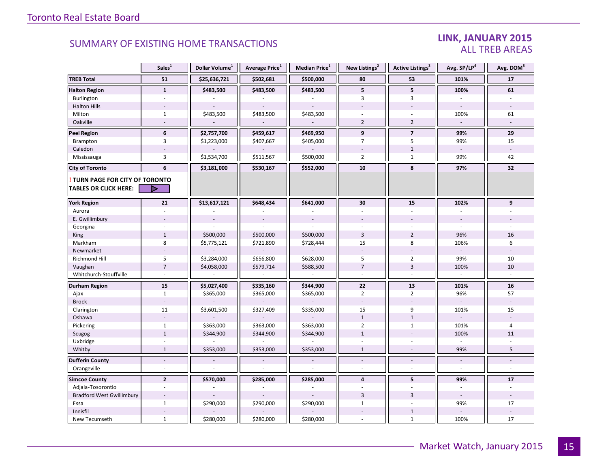#### LINK, JANUARY 2015 ALL TREB AREAS

|                                  | Sales <sup>1</sup> | Dollar Volume <sup>1</sup> | Average Price <sup>1</sup> | Median Price <sup>1</sup> | New Listings <sup>2</sup> | Active Listings <sup>3</sup> | Avg. SP/LP <sup>4</sup> | Avg. DOM <sup>5</sup> |
|----------------------------------|--------------------|----------------------------|----------------------------|---------------------------|---------------------------|------------------------------|-------------------------|-----------------------|
| <b>TREB Total</b>                | 51                 | \$25,636,721               | \$502,681                  | \$500,000                 | 80                        | 53                           | 101%                    | 17                    |
| <b>Halton Region</b>             | $\mathbf{1}$       | \$483,500                  | \$483,500                  | \$483,500                 | 5                         | 5                            | 100%                    | 61                    |
| Burlington                       |                    |                            |                            |                           | 3                         | 3                            |                         |                       |
| <b>Halton Hills</b>              |                    |                            | $\overline{\phantom{a}}$   |                           |                           |                              |                         |                       |
| Milton                           | $\mathbf{1}$       | \$483,500                  | \$483,500                  | \$483,500                 |                           |                              | 100%                    | 61                    |
| Oakville                         |                    |                            | $\overline{\phantom{a}}$   | $\overline{\phantom{a}}$  | $\overline{2}$            | $\overline{2}$               | $\omega$                |                       |
| <b>Peel Region</b>               | 6                  | \$2,757,700                | \$459,617                  | \$469,950                 | 9                         | $\overline{7}$               | 99%                     | 29                    |
| Brampton                         | 3                  | \$1,223,000                | \$407,667                  | \$405,000                 | $\overline{7}$            | 5                            | 99%                     | 15                    |
| Caledon                          |                    |                            |                            |                           |                           | $1\,$                        |                         |                       |
| Mississauga                      | $\overline{3}$     | \$1,534,700                | \$511,567                  | \$500,000                 | $\overline{2}$            | $\mathbf{1}$                 | 99%                     | 42                    |
| <b>City of Toronto</b>           | 6                  | \$3,181,000                | \$530,167                  | \$552,000                 | 10                        | 8                            | 97%                     | 32                    |
| TURN PAGE FOR CITY OF TORONTO    |                    |                            |                            |                           |                           |                              |                         |                       |
| <b>TABLES OR CLICK HERE:</b>     | ⋗                  |                            |                            |                           |                           |                              |                         |                       |
| <b>York Region</b>               | 21                 | \$13,617,121               | \$648,434                  | \$641,000                 | 30                        | 15                           | 102%                    | 9                     |
| Aurora                           |                    |                            |                            |                           |                           |                              |                         |                       |
| E. Gwillimbury                   |                    |                            |                            |                           |                           |                              |                         |                       |
| Georgina                         |                    |                            |                            |                           |                           |                              |                         |                       |
| King                             | $\mathbf{1}$       | \$500,000                  | \$500,000                  | \$500,000                 | $\overline{3}$            | $\overline{2}$               | 96%                     | 16                    |
| Markham                          | 8                  | \$5,775,121                | \$721,890                  | \$728,444                 | 15                        | 8                            | 106%                    | 6                     |
| Newmarket                        |                    |                            |                            |                           | $\overline{\phantom{a}}$  |                              |                         |                       |
| <b>Richmond Hill</b>             | 5                  | \$3,284,000                | \$656,800                  | \$628,000                 | 5                         | $\overline{2}$               | 99%                     | 10                    |
| Vaughan                          | $\overline{7}$     | \$4,058,000                | \$579,714                  | \$588,500                 | $\overline{7}$            | $\overline{3}$               | 100%                    | 10                    |
| Whitchurch-Stouffville           |                    |                            |                            |                           | $\sim$                    | $\bar{a}$                    |                         |                       |
| Durham Region                    | 15                 | \$5,027,400                | \$335,160                  | \$344,900                 | 22                        | 13                           | 101%                    | 16                    |
| Ajax                             | $\mathbf{1}$       | \$365,000                  | \$365,000                  | \$365,000                 | $\overline{2}$            | $\overline{2}$               | 96%                     | 57                    |
| <b>Brock</b>                     |                    |                            |                            |                           | $\sim$                    |                              |                         |                       |
| Clarington                       | 11                 | \$3,601,500                | \$327,409                  | \$335,000                 | 15                        | 9                            | 101%                    | 15                    |
| Oshawa                           |                    |                            |                            |                           | $\mathbf{1}$              | $\mathbf{1}$                 |                         |                       |
| Pickering                        | $\mathbf{1}$       | \$363,000                  | \$363,000                  | \$363,000                 | $\overline{2}$            | $\mathbf{1}$                 | 101%                    | $\overline{4}$        |
| Scugog                           | $\mathbf{1}$       | \$344,900                  | \$344,900                  | \$344,900                 | $\mathbf{1}$              |                              | 100%                    | 11                    |
| Uxbridge                         |                    |                            |                            |                           |                           |                              |                         |                       |
| Whitby                           | $\mathbf{1}$       | \$353,000                  | \$353,000                  | \$353,000                 | $\mathbf{1}$              |                              | 99%                     | 5                     |
| <b>Dufferin County</b>           | $\blacksquare$     |                            | $\overline{a}$             | $\overline{\phantom{a}}$  | $\overline{a}$            | $\overline{a}$               | $\blacksquare$          | L.                    |
| Orangeville                      | $\omega$           |                            | ÷.                         | ÷,                        | ÷.                        | $\overline{a}$               | $\sim$                  | $\omega$              |
| <b>Simcoe County</b>             | $\overline{2}$     | \$570,000                  | \$285,000                  | \$285,000                 | $\overline{\mathbf{4}}$   | 5                            | 99%                     | 17                    |
| Adjala-Tosorontio                | $\overline{a}$     |                            |                            |                           |                           |                              |                         |                       |
| <b>Bradford West Gwillimbury</b> |                    |                            |                            |                           | $\overline{3}$            | $\overline{3}$               |                         |                       |
| Essa                             | $\mathbf{1}$       | \$290,000                  | \$290,000                  | \$290,000                 | $\mathbf{1}$              |                              | 99%                     | 17                    |
| Innisfil                         |                    |                            |                            |                           |                           | $\mathbf{1}$                 |                         |                       |
| New Tecumseth                    | $\mathbf{1}$       | \$280,000                  | \$280,000                  | \$280,000                 |                           | $\mathbf{1}$                 | 100%                    | 17                    |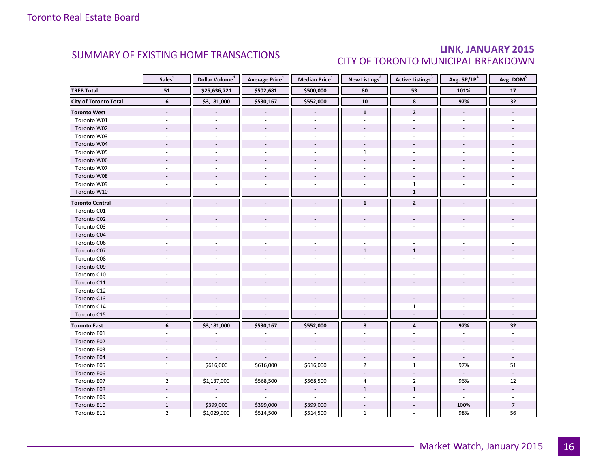### LINK, JANUARY 2015 CITY OF TORONTO MUNICIPAL BREAKDOWN

<span id="page-15-0"></span>

|                              | Sales <sup>1</sup> | Dollar Volume <sup>1</sup> | Average Price <sup>1</sup> | Median Price <sup>1</sup> | New Listings <sup>2</sup> | Active Listings <sup>3</sup> | Avg. SP/LP <sup>4</sup>  | Avg. DOM <sup>5</sup> |
|------------------------------|--------------------|----------------------------|----------------------------|---------------------------|---------------------------|------------------------------|--------------------------|-----------------------|
| <b>TREB Total</b>            | 51                 | \$25,636,721               | \$502,681                  | \$500,000                 | 80                        | 53                           | 101%                     | 17                    |
| <b>City of Toronto Total</b> | $\boldsymbol{6}$   | \$3,181,000                | \$530,167                  | \$552,000                 | 10                        | 8                            | 97%                      | 32                    |
| <b>Toronto West</b>          | $\blacksquare$     |                            |                            |                           | $\mathbf{1}$              | $\overline{2}$               |                          |                       |
| Toronto W01                  |                    |                            |                            |                           |                           |                              |                          |                       |
| Toronto W02                  |                    |                            |                            |                           |                           |                              |                          |                       |
| Toronto W03                  | ÷.                 |                            | ÷.                         | ÷.                        |                           | ÷.                           |                          |                       |
| Toronto W04                  |                    |                            |                            |                           |                           |                              |                          |                       |
| Toronto W05                  |                    |                            |                            |                           | $\mathbf{1}$              |                              |                          |                       |
| Toronto W06                  |                    |                            |                            |                           |                           |                              |                          |                       |
| Toronto W07                  |                    |                            |                            |                           |                           |                              |                          |                       |
| Toronto W08                  |                    |                            |                            |                           |                           |                              |                          |                       |
| Toronto W09                  |                    |                            |                            | $\sim$                    | $\sim$                    | $\mathbf 1$                  |                          |                       |
| Toronto W10                  | $\sim$             |                            | $\overline{a}$             | $\sim$                    | $\omega$                  | $1\,$                        |                          |                       |
| <b>Toronto Central</b>       |                    |                            |                            |                           | $\mathbf{1}$              | $\mathbf{2}$                 |                          |                       |
| Toronto C01                  |                    |                            |                            |                           |                           |                              |                          |                       |
| Toronto C02                  |                    |                            |                            |                           |                           |                              |                          |                       |
| Toronto C03                  |                    |                            |                            |                           |                           |                              |                          |                       |
| Toronto C04                  |                    |                            |                            |                           |                           |                              |                          |                       |
| Toronto C06                  |                    |                            |                            |                           |                           |                              |                          |                       |
| Toronto C07                  |                    |                            |                            |                           | $\mathbf{1}$              | $\mathbf{1}$                 |                          |                       |
| Toronto C08                  |                    |                            |                            |                           |                           |                              |                          |                       |
| Toronto C09                  |                    |                            |                            |                           |                           |                              |                          |                       |
| Toronto C10                  |                    |                            |                            |                           |                           |                              |                          |                       |
| Toronto C11                  |                    |                            |                            |                           |                           |                              |                          |                       |
| Toronto C12                  |                    |                            |                            |                           |                           |                              |                          |                       |
| Toronto C13                  |                    |                            |                            |                           |                           |                              |                          |                       |
| Toronto C14                  |                    |                            |                            |                           |                           | $\mathbf{1}$                 |                          |                       |
| Toronto C15                  | ÷,                 |                            | ÷,                         |                           | $\overline{a}$            | $\sim$                       |                          |                       |
| <b>Toronto East</b>          | 6                  | \$3,181,000                | \$530,167                  | \$552,000                 | 8                         | $\overline{\mathbf{4}}$      | 97%                      | 32                    |
| Toronto E01                  |                    |                            |                            |                           |                           |                              |                          |                       |
| Toronto E02                  |                    |                            |                            |                           |                           |                              |                          |                       |
| Toronto E03                  |                    |                            |                            |                           |                           |                              |                          |                       |
| Toronto E04                  |                    |                            |                            |                           |                           |                              | $\overline{\phantom{a}}$ |                       |
| Toronto E05                  | $\mathbf{1}$       | \$616,000                  | \$616,000                  | \$616,000                 | $\overline{2}$            | $\mathbf{1}$                 | 97%                      | 51                    |
| Toronto E06                  |                    |                            |                            |                           |                           |                              |                          |                       |
| Toronto E07                  | $\overline{2}$     | \$1,137,000                | \$568,500                  | \$568,500                 | 4                         | $\overline{2}$               | 96%                      | 12                    |
| Toronto E08                  |                    |                            |                            |                           | $\mathbf{1}$              | $\mathbf{1}$                 | $\overline{\phantom{a}}$ |                       |
| Toronto E09                  |                    |                            |                            |                           |                           |                              | $\overline{\phantom{a}}$ |                       |
| Toronto E10                  | $\mathbf{1}$       | \$399,000                  | \$399,000                  | \$399,000                 |                           |                              | 100%                     | $\overline{7}$        |
| Toronto E11                  | $\overline{2}$     | \$1,029,000                | \$514,500                  | \$514,500                 | $\mathbf{1}$              | $\bar{a}$                    | 98%                      | 56                    |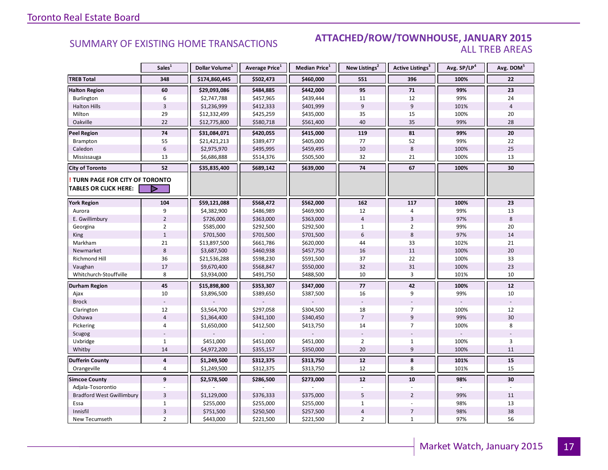#### **Industrial Leasing SUMMARY OF EXISTING HOME TRANSACTIONS ATTACHED/ROW/TOWNHOUSE, JANUARY 2015** ALL TREB AREAS

|                                      | Sales <sup>1</sup>      | Dollar Volume <sup>1</sup> | Average Price <sup>1</sup> | Median Price <sup>1</sup> | New Listings <sup>2</sup> | <b>Active Listings<sup>3</sup></b> | Avg. SP/LP <sup>4</sup> | Avg. DOM <sup>5</sup> |
|--------------------------------------|-------------------------|----------------------------|----------------------------|---------------------------|---------------------------|------------------------------------|-------------------------|-----------------------|
| <b>TREB Total</b>                    | 348                     | \$174,860,445              | \$502,473                  | \$460,000                 | 551                       | 396                                | 100%                    | 22                    |
| <b>Halton Region</b>                 | 60                      | \$29,093,086               | \$484,885                  | \$442,000                 | 95                        | 71                                 | 99%                     | 23                    |
| Burlington                           | 6                       | \$2,747,788                | \$457,965                  | \$439,444                 | 11                        | 12                                 | 99%                     | 24                    |
| <b>Halton Hills</b>                  | $\overline{3}$          | \$1,236,999                | \$412,333                  | \$401,999                 | 9                         | $\boldsymbol{9}$                   | 101%                    | $\overline{4}$        |
| Milton                               | 29                      | \$12,332,499               | \$425,259                  | \$435,000                 | 35                        | 15                                 | 100%                    | 20                    |
| Oakville                             | 22                      | \$12,775,800               | \$580,718                  | \$561,400                 | 40                        | 35                                 | 99%                     | 28                    |
| <b>Peel Region</b>                   | 74                      | \$31,084,071               | \$420,055                  | \$415,000                 | 119                       | 81                                 | 99%                     | 20                    |
| Brampton                             | 55                      | \$21,421,213               | \$389,477                  | \$405,000                 | 77                        | 52                                 | 99%                     | 22                    |
| Caledon                              | $6\phantom{1}$          | \$2,975,970                | \$495,995                  | \$459,495                 | 10                        | 8                                  | 100%                    | 25                    |
| Mississauga                          | 13                      | \$6,686,888                | \$514,376                  | \$505,500                 | 32                        | 21                                 | 100%                    | 13                    |
| <b>City of Toronto</b>               | 52                      | \$35,835,400               | \$689,142                  | \$639,000                 | 74                        | 67                                 | 100%                    | 30                    |
| <b>TURN PAGE FOR CITY OF TORONTO</b> |                         |                            |                            |                           |                           |                                    |                         |                       |
| <b>TABLES OR CLICK HERE:</b>         | D                       |                            |                            |                           |                           |                                    |                         |                       |
| <b>York Region</b>                   | 104                     | \$59,121,088               | \$568,472                  | \$562,000                 | 162                       | 117                                | 100%                    | 23                    |
| Aurora                               | 9                       | \$4,382,900                | \$486,989                  | \$469,900                 | 12                        | 4                                  | 99%                     | 13                    |
| E. Gwillimbury                       | $\overline{2}$          | \$726,000                  | \$363,000                  | \$363,000                 | $\overline{4}$            | $\overline{3}$                     | 97%                     | 8                     |
| Georgina                             | $\overline{2}$          | \$585,000                  | \$292,500                  | \$292,500                 | $\mathbf{1}$              | $\overline{2}$                     | 99%                     | 20                    |
| King                                 | $1\,$                   | \$701,500                  | \$701,500                  | \$701,500                 | $6\phantom{1}$            | 8                                  | 97%                     | 14                    |
| Markham                              | 21                      | \$13,897,500               | \$661,786                  | \$620,000                 | 44                        | 33                                 | 102%                    | 21                    |
| Newmarket                            | $\bf 8$                 | \$3,687,500                | \$460,938                  | \$457,750                 | 16                        | 11                                 | 100%                    | 20                    |
| <b>Richmond Hill</b>                 | 36                      | \$21,536,288               | \$598,230                  | \$591,500                 | 37                        | 22                                 | 100%                    | 33                    |
| Vaughan                              | 17                      | \$9,670,400                | \$568,847                  | \$550,000                 | 32                        | 31                                 | 100%                    | 23                    |
| Whitchurch-Stouffville               | 8                       | \$3,934,000                | \$491,750                  | \$488,500                 | 10                        | 3                                  | 101%                    | 10                    |
| Durham Region                        | 45                      | \$15,898,800               | \$353,307                  | \$347,000                 | 77                        | 42                                 | 100%                    | $12$                  |
| Ajax                                 | 10                      | \$3,896,500                | \$389,650                  | \$387,500                 | 16                        | 9                                  | 99%                     | 10                    |
| <b>Brock</b>                         |                         |                            |                            |                           |                           |                                    |                         |                       |
| Clarington                           | 12                      | \$3,564,700                | \$297,058                  | \$304,500                 | 18                        | $\overline{7}$                     | 100%                    | 12                    |
| Oshawa                               | $\overline{4}$          | \$1,364,400                | \$341,100                  | \$340,450                 | $\overline{7}$            | 9                                  | 99%                     | 30                    |
| Pickering                            | 4                       | \$1,650,000                | \$412,500                  | \$413,750                 | 14                        | $\overline{7}$                     | 100%                    | 8                     |
| Scugog                               |                         |                            |                            |                           |                           |                                    |                         |                       |
| Uxbridge                             | $\mathbf{1}$            | \$451,000                  | \$451,000                  | \$451,000                 | $\overline{2}$            | $\mathbf{1}$                       | 100%                    | 3                     |
| Whitby                               | 14                      | \$4,972,200                | \$355,157                  | \$350,000                 | 20                        | 9                                  | 100%                    | 11                    |
| <b>Dufferin County</b>               | $\overline{\mathbf{4}}$ | \$1,249,500                | \$312,375                  | \$313,750                 | 12                        | 8                                  | 101%                    | 15                    |
| Orangeville                          | 4                       | \$1,249,500                | \$312,375                  | \$313,750                 | 12                        | 8                                  | 101%                    | 15                    |
| <b>Simcoe County</b>                 | $\mathbf{9}$            | \$2,578,500                | \$286,500                  | \$273,000                 | 12                        | 10                                 | 98%                     | 30                    |
| Adjala-Tosorontio                    |                         |                            |                            |                           |                           |                                    |                         |                       |
| <b>Bradford West Gwillimbury</b>     | $\overline{3}$          | \$1,129,000                | \$376,333                  | \$375,000                 | 5                         | $\overline{2}$                     | 99%                     | 11                    |
| Essa                                 | $\mathbf{1}$            | \$255,000                  | \$255,000                  | \$255,000                 | $\mathbf{1}$              |                                    | 98%                     | 13                    |
| Innisfil                             | $\overline{3}$          | \$751,500                  | \$250,500                  | \$257,500                 | $\sqrt{4}$                | $\overline{7}$                     | 98%                     | 38                    |
| New Tecumseth                        | $\overline{2}$          | \$443,000                  | \$221,500                  | \$221,500                 | $\overline{2}$            | $\mathbf{1}$                       | 97%                     | 56                    |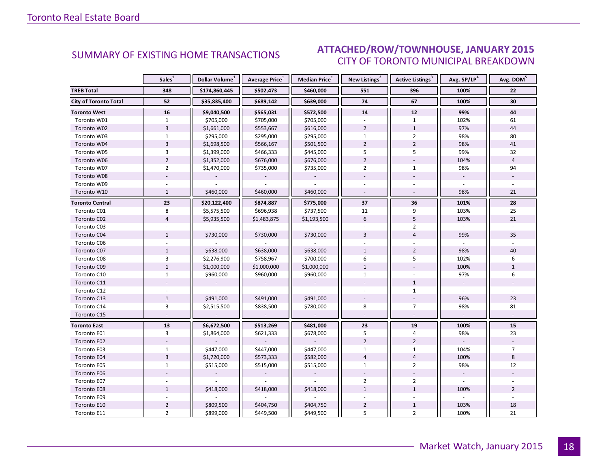#### IANIJARY 2015 CITY OF TORONTO MUNICIPAL BREAKDOWN SUMMARY OF EXISTING HOME TRANSACTIONS **ATTACHED/ROW/TOWNHOUSE, JANUARY 2015**

<span id="page-17-0"></span>

|                              | Sales <sup>1</sup> | Dollar Volume <sup>1</sup> | Average Price <sup>1</sup> | Median Price <sup>1</sup> | New Listings <sup>2</sup> | Active Listings <sup>3</sup> | Avg. SP/LP <sup>4</sup>  | Avg. DOM <sup>5</sup> |
|------------------------------|--------------------|----------------------------|----------------------------|---------------------------|---------------------------|------------------------------|--------------------------|-----------------------|
| <b>TREB Total</b>            | 348                | \$174,860,445              | \$502,473                  | \$460,000                 | 551                       | 396                          | 100%                     | 22                    |
| <b>City of Toronto Total</b> | 52                 | \$35,835,400               | \$689,142                  | \$639,000                 | 74                        | 67                           | 100%                     | 30                    |
| <b>Toronto West</b>          | 16                 | \$9,040,500                | \$565,031                  | \$572,500                 | 14                        | 12                           | 99%                      | 44                    |
| Toronto W01                  | $\mathbf{1}$       | \$705,000                  | \$705,000                  | \$705,000                 |                           | $\mathbf{1}$                 | 102%                     | 61                    |
| Toronto W02                  | $\overline{3}$     | \$1,661,000                | \$553,667                  | \$616,000                 | $\overline{2}$            | $\mathbf{1}$                 | 97%                      | 44                    |
| Toronto W03                  | $\mathbf{1}$       | \$295,000                  | \$295,000                  | \$295,000                 | $\mathbf{1}$              | $\overline{2}$               | 98%                      | 80                    |
| Toronto W04                  | $\overline{3}$     | \$1,698,500                | \$566,167                  | \$501,500                 | $\overline{2}$            | $\overline{2}$               | 98%                      | 41                    |
| Toronto W05                  | 3                  | \$1,399,000                | \$466,333                  | \$445,000                 | 5                         | 5                            | 99%                      | 32                    |
| Toronto W06                  | $\overline{2}$     | \$1,352,000                | \$676,000                  | \$676,000                 | $\overline{2}$            | $\overline{a}$               | 104%                     | $\overline{4}$        |
| Toronto W07                  | $\overline{2}$     | \$1,470,000                | \$735,000                  | \$735,000                 | $\overline{2}$            | $\mathbf{1}$                 | 98%                      | 94                    |
| Toronto W08                  |                    |                            |                            |                           |                           |                              |                          |                       |
| Toronto W09                  |                    |                            |                            |                           |                           |                              |                          |                       |
| Toronto W10                  | $\mathbf{1}$       | \$460,000                  | \$460,000                  | \$460,000                 | $\sim$                    | $\sim$                       | 98%                      | 21                    |
| <b>Toronto Central</b>       | 23                 | \$20,122,400               | \$874,887                  | \$775,000                 | 37                        | 36                           | 101%                     | 28                    |
| Toronto C01                  | 8                  | \$5,575,500                | \$696,938                  | \$737,500                 | 11                        | 9                            | 103%                     | 25                    |
| Toronto C02                  | $\overline{4}$     | \$5,935,500                | \$1,483,875                | \$1,193,500               | $6\overline{6}$           | 5                            | 103%                     | 21                    |
| Toronto C03                  |                    |                            |                            |                           |                           | $\overline{2}$               |                          |                       |
| Toronto C04                  | $\mathbf{1}$       | \$730,000                  | \$730,000                  | \$730,000                 | 3                         | $\overline{4}$               | 99%                      | 35                    |
| Toronto C06                  |                    |                            |                            |                           |                           |                              |                          |                       |
| Toronto C07                  | $\mathbf{1}$       | \$638,000                  | \$638,000                  | \$638,000                 | $\mathbf{1}$              | $\overline{2}$               | 98%                      | 40                    |
| Toronto C08                  | 3                  | \$2,276,900                | \$758,967                  | \$700,000                 | 6                         | 5                            | 102%                     | 6                     |
| Toronto C09                  | $\mathbf{1}$       | \$1,000,000                | \$1,000,000                | \$1,000,000               | $\mathbf{1}$              |                              | 100%                     | $\mathbf{1}$          |
| Toronto C10                  | $\mathbf{1}$       | \$960,000                  | \$960,000                  | \$960,000                 | $\mathbf{1}$              |                              | 97%                      | 6                     |
| Toronto C11                  |                    |                            |                            |                           |                           | $\mathbf{1}$                 | $\overline{\phantom{a}}$ |                       |
| Toronto C12                  |                    |                            |                            |                           |                           | $\mathbf{1}$                 |                          |                       |
| Toronto C13                  | $\mathbf{1}$       | \$491,000                  | \$491,000                  | \$491,000                 |                           |                              | 96%                      | 23                    |
| Toronto C14                  | 3                  | \$2,515,500                | \$838,500                  | \$780,000                 | 8                         | $\overline{7}$               | 98%                      | 81                    |
| Toronto C15                  |                    |                            | ÷,                         | $\overline{\phantom{a}}$  |                           |                              |                          |                       |
| <b>Toronto East</b>          | 13                 | \$6,672,500                | \$513,269                  | \$481,000                 | 23                        | 19                           | 100%                     | 15                    |
| Toronto E01                  | $\overline{3}$     | \$1,864,000                | \$621,333                  | \$678,000                 | 5                         | $\overline{4}$               | 98%                      | 23                    |
| Toronto E02                  |                    |                            |                            |                           | $\overline{2}$            | $\overline{2}$               |                          |                       |
| Toronto E03                  | $\mathbf{1}$       | \$447,000                  | \$447,000                  | \$447,000                 | $\mathbf{1}$              | $\mathbf{1}$                 | 104%                     | $\overline{7}$        |
| Toronto E04                  | $\overline{3}$     | \$1,720,000                | \$573,333                  | \$582,000                 | $\overline{4}$            | $\overline{4}$               | 100%                     | 8                     |
| Toronto E05                  | $\mathbf{1}$       | \$515,000                  | \$515,000                  | \$515,000                 | $\mathbf{1}$              | $\overline{2}$               | 98%                      | 12                    |
| Toronto E06                  |                    |                            |                            |                           |                           |                              | $\omega$                 |                       |
| Toronto E07                  |                    |                            |                            |                           | $\overline{2}$            | $\overline{2}$               |                          |                       |
| Toronto E08                  | $\mathbf{1}$       | \$418,000                  | \$418,000                  | \$418,000                 | $\mathbf{1}$              | $\mathbf{1}$                 | 100%                     | $\overline{2}$        |
| Toronto E09                  |                    |                            |                            |                           |                           |                              |                          |                       |
| Toronto E10                  | $\overline{2}$     | \$809,500                  | \$404,750                  | \$404,750                 | $\overline{2}$            | $\mathbf{1}$                 | 103%                     | 18                    |
| Toronto E11                  | $\overline{2}$     | \$899,000                  | \$449,500                  | \$449,500                 | 5                         | $\overline{2}$               | 100%                     | 21                    |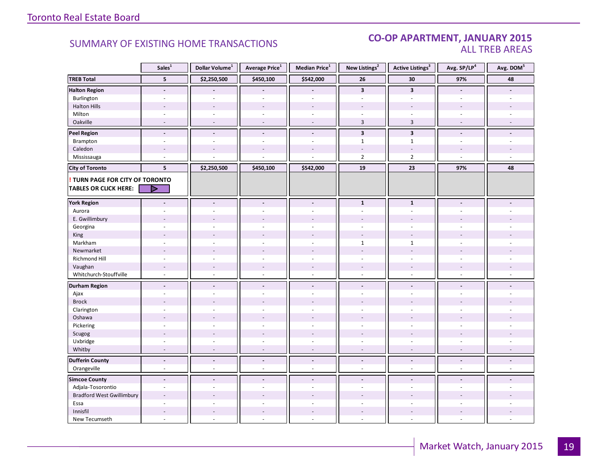#### CO-OP APARTMENT, JANUARY 2015 ALL TREB AREAS

|                                        | Sales <sup>1</sup>       | Dollar Volume $^1$       | Average Price <sup>1</sup> | Median Price $^1$        | New Listings <sup>2</sup> | Active Listings <sup>3</sup> | Avg. SP/LP <sup>4</sup>  | Avg. DOM <sup>5</sup> |
|----------------------------------------|--------------------------|--------------------------|----------------------------|--------------------------|---------------------------|------------------------------|--------------------------|-----------------------|
| <b>TREB Total</b>                      | 5                        | \$2,250,500              | \$450,100                  | \$542,000                | 26                        | 30                           | 97%                      | 48                    |
| <b>Halton Region</b>                   | $\blacksquare$           |                          |                            |                          | $\overline{\mathbf{3}}$   | $\overline{\mathbf{3}}$      | $\blacksquare$           |                       |
| Burlington                             |                          |                          |                            |                          |                           |                              |                          |                       |
| <b>Halton Hills</b>                    |                          |                          | $\overline{\phantom{a}}$   | $\sim$                   |                           |                              |                          |                       |
| Milton                                 | $\sim$                   | $\sim$                   | ä,                         | $\omega$                 | $\blacksquare$            | $\bar{a}$                    | $\sim$                   |                       |
| Oakville                               | $\sim$                   | $\overline{\phantom{a}}$ | $\overline{\phantom{a}}$   | $\omega$                 | $\overline{3}$            | $\overline{3}$               | $\sim$                   |                       |
| <b>Peel Region</b>                     | $\tilde{\phantom{a}}$    | $\blacksquare$           | $\overline{a}$             | $\blacksquare$           | $\overline{\mathbf{3}}$   | $\overline{\mathbf{3}}$      | $\blacksquare$           |                       |
| Brampton                               | $\sim$                   | $\sim$                   | L.                         | $\overline{a}$           | $\mathbf{1}$              | $\mathbf{1}$                 | $\sim$                   |                       |
| Caledon                                |                          |                          |                            |                          | ÷,                        | $\overline{\phantom{a}}$     |                          |                       |
| Mississauga                            | $\overline{a}$           |                          |                            |                          | $\overline{2}$            | $\overline{2}$               |                          |                       |
| <b>City of Toronto</b>                 | 5                        | \$2,250,500              | \$450,100                  | \$542,000                | 19                        | 23                           | 97%                      | 48                    |
| <b>! TURN PAGE FOR CITY OF TORONTO</b> |                          |                          |                            |                          |                           |                              |                          |                       |
| <b>TABLES OR CLICK HERE:</b>           | ⊳                        |                          |                            |                          |                           |                              |                          |                       |
|                                        |                          |                          |                            |                          |                           |                              |                          |                       |
| <b>York Region</b>                     | $\overline{\phantom{a}}$ | $\overline{\phantom{a}}$ | $\overline{\phantom{a}}$   | $\blacksquare$           | $\mathbf{1}$              | $\mathbf{1}$                 | $\blacksquare$           |                       |
| Aurora                                 | ÷.                       | ÷.                       | ÷,                         | $\overline{a}$           | $\bar{a}$                 | $\sim$                       |                          |                       |
| E. Gwillimbury                         |                          |                          |                            |                          |                           |                              |                          |                       |
| Georgina                               | ÷,                       |                          |                            |                          |                           | ÷.                           |                          |                       |
| King                                   |                          |                          |                            |                          |                           |                              |                          |                       |
| Markham                                | $\sim$                   | $\sim$                   | $\overline{a}$             | $\overline{a}$           | $\mathbf{1}$              | $\mathbf{1}$                 | $\sim$                   |                       |
| Newmarket                              |                          |                          |                            |                          |                           | ÷,                           |                          |                       |
| Richmond Hill                          | $\overline{\phantom{a}}$ |                          | ä,                         | ÷.                       | ÷.                        | ÷                            |                          |                       |
| Vaughan                                | $\overline{\phantom{a}}$ | $\overline{\phantom{a}}$ | ÷,                         | $\sim$                   | $\overline{\phantom{a}}$  | $\overline{\phantom{a}}$     |                          |                       |
| Whitchurch-Stouffville                 | $\sim$                   | $\sim$                   | ÷,                         | $\omega$                 | $\omega$                  | $\sim$                       | $\sim$                   |                       |
| <b>Durham Region</b>                   | $\tilde{\phantom{a}}$    | $\blacksquare$           | $\blacksquare$             | $\blacksquare$           | $\blacksquare$            | $\blacksquare$               | $\blacksquare$           |                       |
| Ajax                                   | ÷.                       | $\sim$                   | $\overline{a}$             | $\sim$                   | ÷                         | ÷.                           |                          |                       |
| <b>Brock</b>                           |                          |                          |                            |                          |                           |                              |                          |                       |
| Clarington                             | $\sim$                   | $\sim$                   | $\overline{\phantom{a}}$   | ÷.                       | ÷.                        | ÷.                           | ÷.                       |                       |
| Oshawa                                 | $\overline{\phantom{a}}$ |                          |                            |                          |                           |                              |                          |                       |
| Pickering                              | $\overline{a}$           |                          |                            |                          |                           | $\overline{a}$               |                          |                       |
| Scugog                                 | $\overline{\phantom{a}}$ | $\overline{a}$           | $\overline{a}$             | $\sim$                   | $\overline{a}$            | $\overline{a}$               |                          |                       |
| Uxbridge                               | $\overline{\phantom{a}}$ | $\sim$                   | $\overline{\phantom{a}}$   | $\overline{\phantom{a}}$ | $\overline{\phantom{a}}$  | $\overline{\phantom{a}}$     | $\sim$                   |                       |
| Whitby                                 | $\overline{\phantom{a}}$ | $\overline{\phantom{a}}$ | $\sim$                     | $\sim$                   | $\sim$                    | $\sim$                       | $\overline{\phantom{a}}$ | $\sim$                |
| <b>Dufferin County</b>                 | $\overline{\phantom{a}}$ | $\overline{\phantom{a}}$ | $\centerdot$               | $\overline{\phantom{a}}$ | $\overline{\phantom{a}}$  | $\overline{\phantom{a}}$     | $\overline{\phantom{a}}$ | $\centerdot$          |
| Orangeville                            | $\omega$                 | $\sim$                   | ä,                         | $\omega$                 | $\omega$                  | $\omega$                     | $\omega$                 | $\omega$              |
| <b>Simcoe County</b>                   | $\blacksquare$           | $\blacksquare$           | $\overline{a}$             | $\blacksquare$           | $\blacksquare$            | $\overline{a}$               | $\overline{\phantom{a}}$ |                       |
| Adjala-Tosorontio                      | $\sim$                   | $\overline{\phantom{a}}$ | ÷,                         | $\bar{a}$                | $\overline{\phantom{a}}$  | ÷,                           | $\overline{\phantom{a}}$ |                       |
| <b>Bradford West Gwillimbury</b>       | $\sim$                   |                          |                            |                          |                           |                              |                          |                       |
| Essa                                   |                          |                          |                            |                          |                           |                              |                          |                       |
| Innisfil                               | $\overline{\phantom{a}}$ | $\overline{\phantom{a}}$ | $\overline{\phantom{a}}$   | $\overline{\phantom{a}}$ | $\overline{\phantom{a}}$  | $\overline{\phantom{a}}$     |                          |                       |
| New Tecumseth                          | $\sim$                   | $\overline{a}$           | L.                         | $\omega$                 | $\omega$                  | $\omega$                     | $\sim$                   |                       |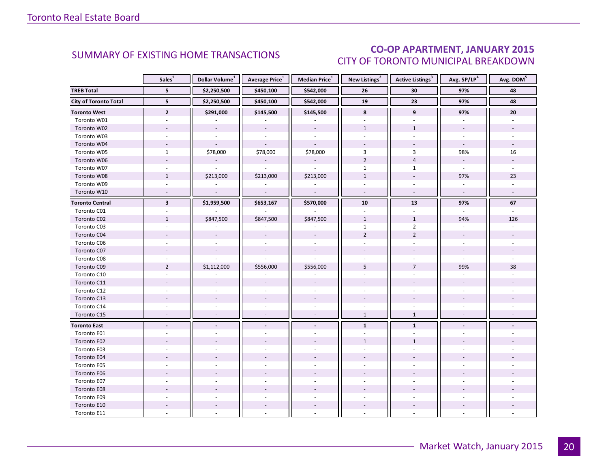### CO-OP APARTMENT, JANUARY 2015 CITY OF TORONTO MUNICIPAL BREAKDOWN

<span id="page-19-0"></span>

|                              | Sales <sup>1</sup>       | Dollar Volume <sup>1</sup> | Average Price <sup>1</sup> | Median Price <sup>1</sup> | New Listings <sup>2</sup> | Active Listings <sup>3</sup> | Avg. SP/LP <sup>4</sup> | Avg. DOM <sup>5</sup> |
|------------------------------|--------------------------|----------------------------|----------------------------|---------------------------|---------------------------|------------------------------|-------------------------|-----------------------|
| <b>TREB Total</b>            | 5                        | \$2,250,500                | \$450,100                  | \$542,000                 | 26                        | 30                           | 97%                     | 48                    |
| <b>City of Toronto Total</b> | 5                        | \$2,250,500                | \$450,100                  | \$542,000                 | 19                        | 23                           | 97%                     | 48                    |
| <b>Toronto West</b>          | $\overline{2}$           | \$291,000                  | \$145,500                  | \$145,500                 | 8                         | 9                            | 97%                     | 20                    |
| Toronto W01                  |                          |                            |                            |                           |                           |                              |                         |                       |
| Toronto W02                  |                          |                            |                            |                           | $\mathbf{1}$              | $\mathbf{1}$                 |                         |                       |
| Toronto W03                  | $\sim$                   | $\overline{\phantom{a}}$   | $\omega$                   | $\mathcal{L}$             | $\mathbf{r}$              | $\sim$                       | $\omega$                |                       |
| Toronto W04                  |                          |                            |                            |                           |                           |                              | $\omega$                |                       |
| Toronto W05                  | $\mathbf{1}$             | \$78,000                   | \$78,000                   | \$78,000                  | 3                         | 3                            | 98%                     | 16                    |
| Toronto W06                  |                          |                            |                            |                           | $\overline{2}$            | $\overline{4}$               | $\omega$                |                       |
| Toronto W07                  | $\sim$                   | ÷.                         | $\overline{\phantom{a}}$   | $\sim$                    | $\mathbf{1}$              | $\mathbf{1}$                 | $\omega$                | ÷.                    |
| Toronto W08                  | $\mathbf{1}$             | \$213,000                  | \$213,000                  | \$213,000                 | $\mathbf 1$               |                              | 97%                     | 23                    |
| Toronto W09                  | $\overline{\phantom{a}}$ |                            |                            |                           |                           | $\sim$                       |                         |                       |
| Toronto W10                  | $\sim$                   | $\Box$                     | $\sim$                     | $\mathcal{L}$             | $\omega$                  | $\sim$                       | $\omega$                |                       |
| <b>Toronto Central</b>       | $\overline{\mathbf{3}}$  | \$1,959,500                | \$653,167                  | \$570,000                 | 10                        | 13                           | 97%                     | 67                    |
| Toronto C01                  |                          |                            |                            |                           |                           |                              |                         |                       |
| Toronto C02                  | $\mathbf{1}$             | \$847,500                  | \$847,500                  | \$847,500                 | $\mathbf{1}$              | $\mathbf{1}$                 | 94%                     | 126                   |
| Toronto C03                  | ÷.                       |                            |                            |                           | $\mathbf{1}$              | $\overline{2}$               | $\bar{\phantom{a}}$     |                       |
| Toronto C04                  |                          |                            |                            |                           | $\overline{2}$            | $\overline{2}$               |                         |                       |
| Toronto C06                  |                          |                            |                            |                           |                           |                              |                         |                       |
| Toronto C07                  |                          |                            |                            |                           |                           |                              |                         |                       |
| Toronto C08                  |                          |                            |                            |                           |                           |                              |                         |                       |
| Toronto C09                  | $\overline{2}$           | \$1,112,000                | \$556,000                  | \$556,000                 | 5                         | $\overline{7}$               | 99%                     | 38                    |
| Toronto C10                  |                          |                            |                            |                           |                           |                              |                         |                       |
| Toronto C11                  |                          |                            |                            |                           |                           |                              |                         |                       |
| Toronto C12                  |                          |                            |                            |                           |                           |                              |                         |                       |
| Toronto C13                  |                          |                            |                            |                           |                           |                              |                         |                       |
| Toronto C14                  |                          |                            |                            |                           |                           |                              |                         |                       |
| Toronto C15                  | $\sim$                   | $\sim$                     | $\overline{\phantom{a}}$   | $\omega$                  | $\mathbf{1}$              | $\mathbf{1}$                 | $\sim$                  |                       |
| <b>Toronto East</b>          |                          |                            | $\centerdot$               | $\overline{\phantom{a}}$  | $\mathbf{1}$              | $\mathbf{1}$                 |                         |                       |
| Toronto E01                  |                          |                            |                            |                           |                           |                              |                         |                       |
| Toronto E02                  |                          |                            |                            |                           | $\mathbf{1}$              | $\mathbf{1}$                 |                         |                       |
| Toronto E03                  |                          |                            |                            |                           |                           |                              |                         |                       |
| Toronto E04                  |                          |                            |                            |                           |                           |                              |                         |                       |
| Toronto E05                  |                          |                            |                            |                           |                           |                              |                         |                       |
| Toronto E06                  |                          |                            |                            |                           |                           |                              |                         |                       |
| Toronto E07                  |                          |                            |                            |                           |                           |                              |                         |                       |
| Toronto E08                  |                          |                            |                            |                           |                           |                              |                         |                       |
| Toronto E09                  |                          |                            |                            |                           |                           |                              |                         |                       |
| Toronto E10                  |                          |                            |                            |                           |                           |                              |                         |                       |
| Toronto E11                  |                          |                            |                            |                           |                           |                              |                         |                       |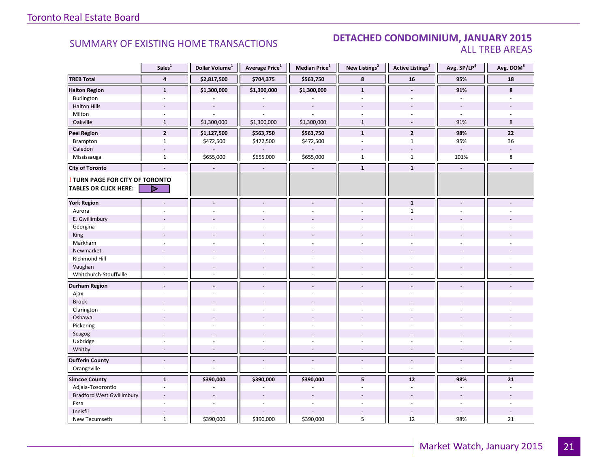#### SUMMARY OF EXISTING HOME TRANSACTIONS **DETACHED CONDOMINIUM, JANUARY 2015** ALL TREB AREAS

|                                  | Sales <sup>1</sup>       | Dollar Volume <sup>1</sup> | Average Price <sup>1</sup> | Median Price <sup>1</sup> | New Listings <sup>2</sup> | Active Listings <sup>3</sup> | Avg. SP/LP <sup>4</sup>  | Avg. DOM <sup>5</sup>    |
|----------------------------------|--------------------------|----------------------------|----------------------------|---------------------------|---------------------------|------------------------------|--------------------------|--------------------------|
| <b>TREB Total</b>                | $\overline{\mathbf{4}}$  | \$2,817,500                | \$704,375                  | \$563,750                 | $\pmb{8}$                 | ${\bf 16}$                   | 95%                      | 18                       |
| <b>Halton Region</b>             | $\mathbf{1}$             | \$1,300,000                | \$1,300,000                | \$1,300,000               | $\mathbf{1}$              | $\overline{a}$               | 91%                      | 8                        |
| Burlington                       | $\overline{a}$           |                            |                            |                           | $\overline{a}$            | ÷.                           |                          |                          |
| <b>Halton Hills</b>              |                          | $\overline{\phantom{a}}$   | $\overline{a}$             | $\sim$                    |                           |                              | $\overline{\phantom{a}}$ |                          |
| Milton                           | $\overline{\phantom{a}}$ |                            |                            |                           |                           | $\overline{\phantom{a}}$     | $\sim$                   |                          |
| Oakville                         | $\mathbf{1}$             | \$1,300,000                | \$1,300,000                | \$1,300,000               | $\mathbf{1}$              | $\sim$                       | 91%                      | 8                        |
| <b>Peel Region</b>               | $\overline{2}$           | \$1,127,500                | \$563,750                  | \$563,750                 | $\mathbf{1}$              | $\overline{2}$               | 98%                      | 22                       |
| Brampton                         | $\mathbf{1}$             | \$472,500                  | \$472,500                  | \$472,500                 | $\omega$                  | $\mathbf{1}$                 | 95%                      | 36                       |
| Caledon                          | $\sim$                   |                            |                            |                           |                           | $\overline{a}$               | $\sim$                   |                          |
| Mississauga                      | $\mathbf{1}$             | \$655,000                  | \$655,000                  | \$655,000                 | $\mathbf{1}$              | $\mathbf{1}$                 | 101%                     | 8                        |
| <b>City of Toronto</b>           | ÷.                       | $\blacksquare$             | $\blacksquare$             | $\overline{\phantom{a}}$  | $\mathbf 1$               | $\mathbf 1$                  | $\overline{\phantom{a}}$ |                          |
| TURN PAGE FOR CITY OF TORONTO    |                          |                            |                            |                           |                           |                              |                          |                          |
| <b>TABLES OR CLICK HERE:</b>     | D                        |                            |                            |                           |                           |                              |                          |                          |
| <b>York Region</b>               |                          | $\overline{a}$             | $\overline{a}$             | $\blacksquare$            | $\blacksquare$            | $\mathbf{1}$                 |                          |                          |
| Aurora                           |                          |                            |                            |                           |                           | $\mathbf{1}$                 |                          |                          |
| E. Gwillimbury                   |                          |                            |                            |                           |                           |                              |                          |                          |
| Georgina                         |                          |                            |                            |                           |                           |                              |                          |                          |
| King                             |                          |                            |                            |                           |                           |                              |                          |                          |
| Markham                          | $\sim$                   | $\overline{a}$             | ÷,                         | $\overline{a}$            | $\overline{a}$            | ä,                           | $\sim$                   |                          |
| Newmarket                        |                          |                            |                            |                           |                           |                              |                          |                          |
| Richmond Hill                    |                          |                            |                            |                           |                           |                              |                          |                          |
| Vaughan                          |                          |                            | $\overline{a}$             |                           | $\overline{\phantom{a}}$  |                              |                          |                          |
| Whitchurch-Stouffville           | $\sim$                   | ÷                          | ÷,                         | $\overline{a}$            | $\sim$                    | ÷.                           | $\sim$                   |                          |
| <b>Durham Region</b>             | $\blacksquare$           | $\blacksquare$             | $\blacksquare$             | $\overline{\phantom{a}}$  | $\blacksquare$            | $\blacksquare$               |                          |                          |
| Ajax                             |                          |                            | ÷,                         | $\sim$                    | ÷                         | ÷.                           |                          |                          |
| <b>Brock</b>                     |                          |                            |                            |                           |                           |                              |                          |                          |
| Clarington                       | ÷.                       | ÷.                         | ÷.                         |                           | ÷                         | ÷.                           |                          |                          |
| Oshawa                           |                          |                            |                            |                           |                           |                              |                          |                          |
| Pickering                        |                          |                            | ÷.                         |                           |                           |                              |                          |                          |
| Scugog                           |                          | $\overline{a}$             | $\overline{a}$             |                           |                           |                              |                          |                          |
| Uxbridge                         | $\sim$                   | $\sim$                     | $\sim$                     | $\omega$                  | ÷.                        | $\sim$                       | $\sim$                   |                          |
| Whitby                           | $\overline{a}$           | $\sim$                     | $\sim$                     | $\sim$                    | $\sim$                    | $\overline{\phantom{a}}$     | $\sim$                   | $\sim$                   |
| <b>Dufferin County</b>           | $\overline{\phantom{a}}$ | $\overline{\phantom{a}}$   | $\overline{\phantom{a}}$   | $\overline{\phantom{a}}$  | $\blacksquare$            | $\overline{\phantom{a}}$     | $\overline{\phantom{a}}$ | $\centerdot$             |
| Orangeville                      | $\sim$                   | ÷.                         | ä,                         | $\omega$                  | $\bar{a}$                 | $\sim$                       | $\sim$                   | $\omega$                 |
| <b>Simcoe County</b>             | $\mathbf{1}$             | \$390,000                  | \$390,000                  | \$390,000                 | 5                         | 12                           | 98%                      | 21                       |
| Adjala-Tosorontio                | $\sim$                   | $\overline{\phantom{a}}$   |                            |                           | $\bar{a}$                 | $\overline{\phantom{a}}$     | $\sim$                   | $\overline{\phantom{a}}$ |
| <b>Bradford West Gwillimbury</b> |                          |                            |                            |                           |                           |                              |                          |                          |
| Essa                             |                          |                            |                            |                           |                           |                              |                          |                          |
| Innisfil                         | $\overline{\phantom{a}}$ |                            |                            |                           |                           | $\overline{\phantom{a}}$     |                          |                          |
| New Tecumseth                    | $\mathbf{1}$             | \$390,000                  | \$390,000                  | \$390,000                 | 5                         | 12                           | 98%                      | 21                       |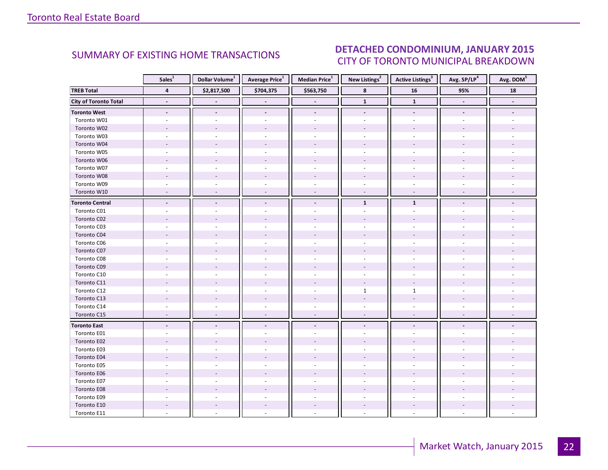#### IANIIARV 2015 CITY OF TORONTO MUNICIPAL BREAKDOWN SUMMARY OF EXISTING HOME TRANSACTIONS **DETACHED CONDOMINIUM, JANUARY 2015**

<span id="page-21-0"></span>

|                              | Sales <sup>1</sup>       | Dollar Volume <sup>1</sup> | <b>Average Price</b> <sup>1</sup> | Median Price <sup>1</sup> | New Listings <sup>2</sup> | <b>Active Listings</b> <sup>3</sup> | Avg. SP/LP <sup>4</sup>  | Avg. DOM <sup>5</sup> |
|------------------------------|--------------------------|----------------------------|-----------------------------------|---------------------------|---------------------------|-------------------------------------|--------------------------|-----------------------|
| <b>TREB Total</b>            | $\overline{\mathbf{4}}$  | \$2,817,500                | \$704,375                         | \$563,750                 | 8                         | $16$                                | 95%                      | 18                    |
| <b>City of Toronto Total</b> | $\blacksquare$           |                            |                                   | $\blacksquare$            | $\mathbf 1$               | $\mathbf 1$                         | $\overline{\phantom{a}}$ | $\blacksquare$        |
| <b>Toronto West</b>          | $\overline{\phantom{a}}$ | $\overline{\phantom{a}}$   | $\overline{\phantom{a}}$          | $\overline{\phantom{a}}$  | $\overline{\phantom{a}}$  | $\overline{\phantom{a}}$            | $\overline{\phantom{a}}$ |                       |
| Toronto W01                  | $\sim$                   |                            | ä,                                | $\sim$                    |                           |                                     |                          |                       |
| Toronto W02                  |                          |                            |                                   |                           |                           |                                     |                          |                       |
| Toronto W03                  | $\overline{a}$           |                            |                                   | $\overline{a}$            | $\overline{a}$            |                                     |                          |                       |
| Toronto W04                  |                          |                            |                                   |                           |                           |                                     |                          |                       |
| Toronto W05                  |                          |                            |                                   |                           |                           |                                     |                          |                       |
| Toronto W06                  |                          |                            |                                   |                           |                           |                                     |                          |                       |
| Toronto W07                  |                          |                            |                                   |                           |                           |                                     |                          |                       |
| Toronto W08                  |                          |                            |                                   |                           |                           |                                     |                          |                       |
| Toronto W09                  |                          |                            |                                   | ÷.                        | ÷                         |                                     |                          |                       |
| Toronto W10                  | ÷,                       |                            |                                   |                           | $\sim$                    | $\overline{a}$                      |                          |                       |
| <b>Toronto Central</b>       | $\blacksquare$           |                            | $\blacksquare$                    | $\blacksquare$            | $\mathbf{1}$              | $\mathbf{1}$                        |                          |                       |
| Toronto C01                  |                          |                            |                                   |                           |                           |                                     |                          |                       |
| Toronto C02                  |                          |                            |                                   |                           |                           |                                     |                          |                       |
| Toronto C03                  | ÷.                       |                            | ÷                                 | ÷.                        | ÷                         | ÷.                                  |                          |                       |
| Toronto C04                  |                          |                            |                                   |                           |                           |                                     |                          |                       |
| Toronto C06                  |                          |                            |                                   |                           |                           |                                     |                          |                       |
| Toronto C07                  |                          |                            |                                   |                           |                           |                                     |                          |                       |
| Toronto C08                  |                          |                            |                                   |                           |                           |                                     |                          |                       |
| Toronto C09                  |                          |                            |                                   |                           |                           |                                     |                          |                       |
| Toronto C10                  |                          |                            |                                   |                           |                           |                                     |                          |                       |
| Toronto C11                  |                          |                            |                                   |                           |                           |                                     |                          |                       |
| Toronto C12                  |                          |                            |                                   | ÷.                        | $\mathbf{1}$              | $\mathbf{1}$                        |                          |                       |
| Toronto C13                  |                          |                            |                                   |                           |                           |                                     |                          |                       |
| Toronto C14                  |                          |                            |                                   |                           |                           |                                     |                          |                       |
| Toronto C15                  | $\overline{\phantom{a}}$ | $\overline{\phantom{a}}$   | $\overline{\phantom{a}}$          | $\sim$                    | $\overline{\phantom{a}}$  | $\sim$                              | $\overline{\phantom{a}}$ |                       |
| <b>Toronto East</b>          | $\overline{\phantom{a}}$ |                            | $\overline{\phantom{a}}$          |                           |                           |                                     |                          |                       |
| Toronto E01                  |                          |                            |                                   |                           |                           |                                     |                          |                       |
| Toronto E02                  |                          |                            |                                   |                           |                           |                                     |                          |                       |
| Toronto E03                  |                          |                            |                                   |                           |                           |                                     |                          |                       |
| Toronto E04                  |                          |                            |                                   |                           |                           |                                     |                          |                       |
| Toronto E05                  |                          |                            |                                   |                           |                           |                                     |                          |                       |
| Toronto E06                  |                          |                            |                                   |                           |                           |                                     |                          |                       |
| Toronto E07                  |                          |                            |                                   |                           |                           |                                     |                          |                       |
| Toronto E08                  |                          |                            |                                   |                           |                           |                                     |                          |                       |
| Toronto E09                  |                          |                            |                                   |                           |                           |                                     |                          |                       |
| Toronto E10                  |                          |                            |                                   |                           |                           |                                     |                          |                       |
| Toronto E11                  |                          |                            |                                   |                           |                           |                                     |                          |                       |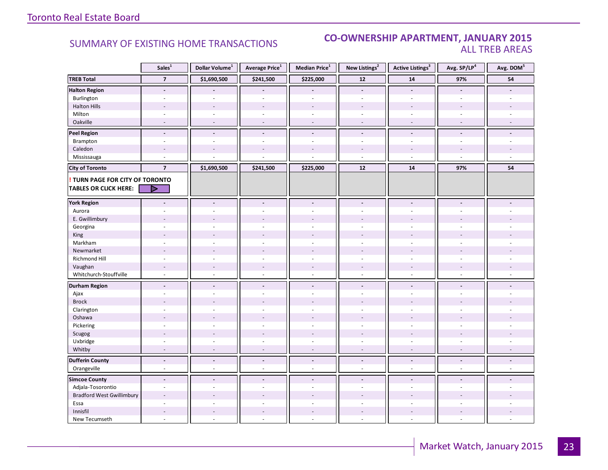#### **Industrial Leasing CO-OWNERSHIP APARTMENT, JANUARY 2015**<br>ALL TREB AREAS ALL TREB AREAS

|                                        | Sales <sup>1</sup>       | Dollar Volume <sup>1</sup> | <b>Average Price</b> <sup>1</sup> | Median Price <sup>1</sup> | New Listings <sup>2</sup> | <b>Active Listings<sup>3</sup></b> | Avg. SP/LP <sup>4</sup>  | Avg. DOM <sup>5</sup> |
|----------------------------------------|--------------------------|----------------------------|-----------------------------------|---------------------------|---------------------------|------------------------------------|--------------------------|-----------------------|
| <b>TREB Total</b>                      | $\overline{7}$           | \$1,690,500                | \$241,500                         | \$225,000                 | 12                        | ${\bf 14}$                         | 97%                      | 54                    |
| <b>Halton Region</b>                   | $\overline{\phantom{a}}$ |                            |                                   |                           | $\overline{\phantom{a}}$  | $\blacksquare$                     | $\overline{\phantom{a}}$ |                       |
| Burlington                             | $\sim$                   | $\sim$                     | ä,                                | $\omega$                  | $\overline{\phantom{a}}$  | $\sim$                             | $\sim$                   |                       |
| <b>Halton Hills</b>                    |                          |                            |                                   |                           |                           | $\overline{\phantom{a}}$           |                          |                       |
| Milton                                 |                          |                            | $\overline{a}$                    | $\overline{a}$            | L.                        | ÷.                                 |                          |                       |
| Oakville                               | ÷,                       |                            | ÷,                                | $\overline{a}$            | ÷,                        | $\overline{a}$                     |                          |                       |
| <b>Peel Region</b>                     | $\overline{a}$           | $\overline{a}$             | $\overline{a}$                    | $\overline{a}$            | $\overline{a}$            | $\overline{a}$                     | $\overline{\phantom{a}}$ | L.                    |
| Brampton                               | $\sim$                   | $\sim$                     | ÷                                 | $\sim$                    | $\sim$                    | $\overline{a}$                     | $\sim$                   |                       |
| Caledon                                | $\sim$                   |                            |                                   |                           |                           | $\overline{\phantom{a}}$           |                          |                       |
| Mississauga                            | $\sim$                   |                            |                                   |                           | $\omega$                  | $\omega$                           | $\omega$                 | u,                    |
| <b>City of Toronto</b>                 | $\overline{7}$           | \$1,690,500                | \$241,500                         | \$225,000                 | 12                        | 14                                 | 97%                      | 54                    |
| <b>! TURN PAGE FOR CITY OF TORONTO</b> |                          |                            |                                   |                           |                           |                                    |                          |                       |
| <b>TABLES OR CLICK HERE:</b>           | D                        |                            |                                   |                           |                           |                                    |                          |                       |
| <b>York Region</b>                     |                          | $\sim$                     | ÷.                                | $\overline{a}$            | ÷.                        |                                    |                          |                       |
| Aurora                                 |                          |                            |                                   |                           |                           |                                    |                          |                       |
| E. Gwillimbury                         |                          |                            |                                   |                           |                           |                                    |                          |                       |
| Georgina                               |                          |                            |                                   | $\overline{a}$            |                           |                                    |                          |                       |
| King                                   |                          |                            |                                   |                           |                           |                                    |                          |                       |
| Markham                                | $\sim$                   | $\sim$                     | $\overline{\phantom{a}}$          | $\sim$                    | $\sim$                    | ÷.                                 | ÷.                       |                       |
| Newmarket                              | $\overline{\phantom{a}}$ |                            |                                   |                           |                           |                                    |                          |                       |
| Richmond Hill                          | L.                       |                            |                                   |                           |                           |                                    |                          |                       |
| Vaughan                                | $\sim$                   | $\sim$                     | $\overline{\phantom{a}}$          | $\sim$                    | $\overline{a}$            | $\overline{a}$                     | $\sim$                   |                       |
| Whitchurch-Stouffville                 | ÷,                       | $\sim$                     | $\overline{a}$                    | $\overline{\phantom{a}}$  | $\overline{a}$            | $\bar{a}$                          |                          |                       |
| <b>Durham Region</b>                   | ÷.                       | ÷.                         | $\overline{a}$                    | $\blacksquare$            | $\blacksquare$            | $\overline{a}$                     | $\overline{a}$           |                       |
| Ajax                                   | ÷.                       |                            | ÷                                 | ÷.                        | $\overline{a}$            | $\overline{a}$                     |                          |                       |
| <b>Brock</b>                           |                          |                            |                                   |                           |                           |                                    |                          |                       |
| Clarington                             |                          |                            |                                   |                           |                           |                                    |                          |                       |
| Oshawa                                 | $\overline{\phantom{a}}$ |                            |                                   |                           |                           |                                    |                          |                       |
| Pickering                              | $\sim$                   |                            | ä,                                | $\sim$                    | $\sim$                    | ä,                                 |                          |                       |
| Scugog                                 | ÷.                       |                            | ÷                                 |                           |                           |                                    |                          |                       |
| Uxbridge                               | L.                       |                            |                                   |                           |                           |                                    |                          |                       |
| Whitby                                 | $\overline{\phantom{a}}$ |                            | L.                                | $\overline{a}$            | $\overline{a}$            | $\overline{a}$                     |                          |                       |
| <b>Dufferin County</b>                 | $\overline{a}$           | $\overline{a}$             | $\overline{a}$                    | $\Box$                    | $\blacksquare$            | $\overline{a}$                     | $\blacksquare$           | L.                    |
| Orangeville                            | $\omega$                 | ÷.                         | $\overline{a}$                    | $\sim$                    | $\sim$                    | $\sim$                             | $\sim$                   | ÷                     |
| <b>Simcoe County</b>                   | $\sim$                   | $\blacksquare$             | $\blacksquare$                    | $\overline{\phantom{a}}$  | $\sim$                    | $\sim$                             | $\sim$                   |                       |
| Adjala-Tosorontio                      | $\sim$                   |                            |                                   |                           |                           | L.                                 |                          |                       |
| <b>Bradford West Gwillimbury</b>       |                          |                            |                                   |                           |                           |                                    |                          |                       |
| Essa                                   | $\overline{\phantom{a}}$ | ÷.                         | L,                                | $\overline{a}$            | $\bar{a}$                 | $\bar{a}$                          | ÷.                       |                       |
| Innisfil                               |                          |                            |                                   |                           |                           |                                    |                          |                       |
| New Tecumseth                          | $\sim$                   |                            | L.                                |                           | ÷                         | $\bar{a}$                          | ÷.                       | ÷                     |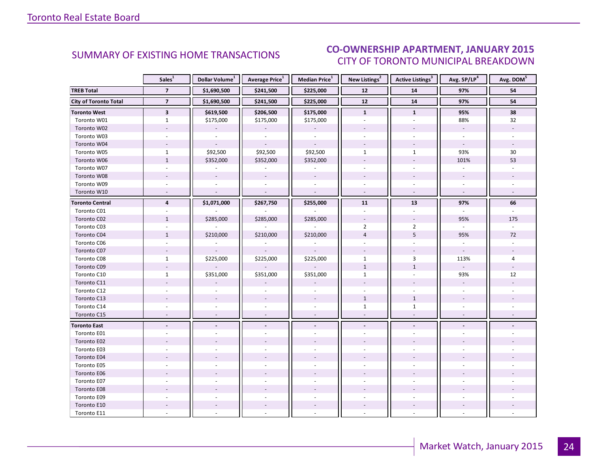#### IANIIARV 2015 CITY OF TORONTO MUNICIPAL BREAKDOWN SUMMARY OF EXISTING HOME TRANSACTIONS **CO-OWNERSHIP APARTMENT, JANUARY 2015**

<span id="page-23-0"></span>

|                              | Sales <sup>1</sup>       | Dollar Volume <sup>1</sup> | <b>Average Price</b> <sup>1</sup> | Median Price <sup>1</sup> | New Listings <sup>2</sup> | Active Listings <sup>3</sup> | Avg. SP/LP <sup>4</sup>  | Avg. DOM <sup>5</sup> |
|------------------------------|--------------------------|----------------------------|-----------------------------------|---------------------------|---------------------------|------------------------------|--------------------------|-----------------------|
| <b>TREB Total</b>            | $\overline{7}$           | \$1,690,500                | \$241,500                         | \$225,000                 | $12$                      | 14                           | 97%                      | 54                    |
| <b>City of Toronto Total</b> | $\overline{7}$           | \$1,690,500                | \$241,500                         | \$225,000                 | ${\bf 12}$                | 14                           | 97%                      | 54                    |
| <b>Toronto West</b>          | $\mathbf{3}$             | \$619,500                  | \$206,500                         | \$175,000                 | $\mathbf{1}$              | $\mathbf{1}$                 | 95%                      | 38                    |
| Toronto W01                  | $\mathbf{1}$             | \$175,000                  | \$175,000                         | \$175,000                 |                           |                              | 88%                      | 32                    |
| Toronto W02                  |                          |                            |                                   |                           |                           |                              | $\blacksquare$           |                       |
| Toronto W03                  | $\omega$                 | $\omega$                   | $\omega$                          | $\omega$                  |                           | $\omega$                     | $\sim$                   |                       |
| Toronto W04                  |                          |                            |                                   |                           |                           |                              | $\sim$                   |                       |
| Toronto W05                  | $\mathbf{1}$             | \$92,500                   | \$92,500                          | \$92,500                  | $\mathbf{1}$              | $\mathbf{1}$                 | 93%                      | 30                    |
| Toronto W06                  | $\mathbf{1}$             | \$352,000                  | \$352,000                         | \$352,000                 |                           |                              | 101%                     | 53                    |
| Toronto W07                  | $\overline{a}$           | $\omega$                   | ä,                                | $\overline{\phantom{a}}$  |                           | $\mathbf{r}$                 | $\omega$                 |                       |
| Toronto W08                  |                          | $\overline{\phantom{a}}$   | $\overline{a}$                    | $\mathcal{L}$             |                           | $\overline{\phantom{a}}$     | $\overline{\phantom{a}}$ |                       |
| Toronto W09                  |                          |                            |                                   |                           |                           |                              | $\sim$                   |                       |
| Toronto W10                  | $\overline{\phantom{a}}$ | $\overline{a}$             | $\mathcal{L}$                     | $\sim$                    | $\sim$                    | $\sim$                       | $\omega$                 |                       |
| <b>Toronto Central</b>       | $\overline{4}$           | \$1,071,000                | \$267,750                         | \$255,000                 | 11                        | 13                           | 97%                      | 66                    |
| Toronto C01                  |                          |                            |                                   |                           |                           |                              |                          |                       |
| Toronto C02                  | $\mathbf{1}$             | \$285,000                  | \$285,000                         | \$285,000                 | $\overline{\phantom{a}}$  | $\overline{\phantom{a}}$     | 95%                      | 175                   |
| Toronto C03                  | $\sim$                   |                            |                                   |                           | $\overline{2}$            | $\overline{2}$               | $\omega$                 |                       |
| Toronto C04                  | $\mathbf{1}$             | \$210,000                  | \$210,000                         | \$210,000                 | $\overline{4}$            | 5                            | 95%                      | 72                    |
| Toronto C06                  |                          |                            |                                   |                           |                           |                              |                          |                       |
| Toronto C07                  | $\overline{\phantom{a}}$ |                            |                                   |                           | $\overline{\phantom{a}}$  |                              | $\overline{\phantom{a}}$ |                       |
| Toronto C08                  | $\mathbf{1}$             | \$225,000                  | \$225,000                         | \$225,000                 | $\mathbf{1}$              | 3                            | 113%                     | 4                     |
| Toronto C09                  |                          |                            |                                   |                           | $\mathbf{1}$              | $\mathbf{1}$                 | $\omega$                 |                       |
| Toronto C10                  | $\mathbf{1}$             | \$351,000                  | \$351,000                         | \$351,000                 | $\mathbf{1}$              |                              | 93%                      | 12                    |
| Toronto C11                  |                          |                            |                                   |                           |                           |                              | $\overline{\phantom{a}}$ |                       |
| Toronto C12                  | $\overline{a}$           |                            |                                   |                           |                           |                              | $\overline{a}$           |                       |
| Toronto C13                  |                          |                            |                                   |                           | $\mathbf{1}$              | $\mathbf{1}$                 |                          |                       |
| Toronto C14                  |                          |                            |                                   |                           | $\mathbf{1}$              | $\mathbf{1}$                 |                          |                       |
| Toronto C15                  | $\sim$                   |                            | $\overline{a}$                    | $\overline{\phantom{a}}$  | $\sim$                    | $\overline{\phantom{a}}$     | $\sim$                   |                       |
| <b>Toronto East</b>          |                          |                            |                                   | $\overline{\phantom{a}}$  | $\overline{\phantom{a}}$  | $\overline{\phantom{a}}$     |                          |                       |
| Toronto E01                  |                          |                            |                                   |                           |                           |                              |                          |                       |
| Toronto E02                  |                          |                            |                                   |                           |                           |                              |                          |                       |
| Toronto E03                  |                          |                            |                                   |                           |                           |                              |                          |                       |
| Toronto E04                  |                          |                            |                                   |                           |                           |                              |                          |                       |
| Toronto E05                  |                          |                            |                                   |                           |                           |                              |                          |                       |
| Toronto E06                  |                          |                            |                                   |                           |                           |                              |                          |                       |
| Toronto E07                  |                          |                            |                                   | $\overline{a}$            |                           |                              |                          |                       |
| Toronto E08                  |                          |                            |                                   |                           |                           |                              |                          |                       |
| Toronto E09                  |                          |                            |                                   |                           |                           |                              |                          |                       |
| Toronto E10                  |                          |                            |                                   | $\overline{\phantom{a}}$  |                           |                              |                          |                       |
| Toronto E11                  |                          |                            |                                   |                           |                           |                              |                          |                       |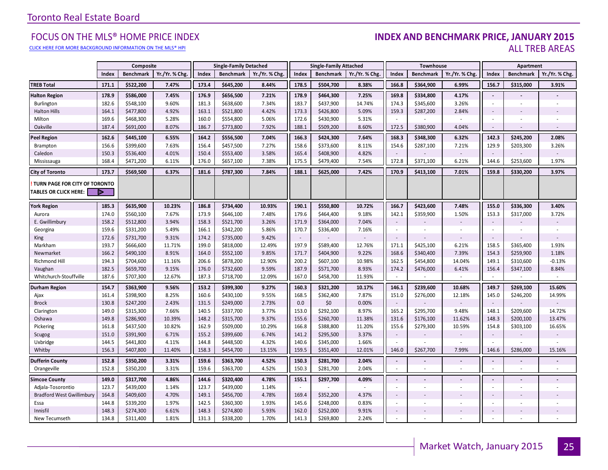#### [CLICK HERE FOR MORE BACKGROUND INFORMATION ON THE MLS® HPI](http://www.torontorealestateboard.com/market_news/home_price_index/index.htm)

#### FOCUS ON THE MLS® HOME PRICE INDEX **INDEX AND BENCHMARK PRICE, JANUARY 2015**<br>Elick here for more background information on the mls® hpi ALL TREB AREAS

|                                                               |       | Composite        |                |       | <b>Single-Family Detached</b> |                |        | <b>Single-Family Attached</b> |               |                          | Townhouse        |               |                          | Apartment                |                |
|---------------------------------------------------------------|-------|------------------|----------------|-------|-------------------------------|----------------|--------|-------------------------------|---------------|--------------------------|------------------|---------------|--------------------------|--------------------------|----------------|
|                                                               | Index | <b>Benchmark</b> | Yr./Yr. % Chg. | Index | <b>Benchmark</b>              | Yr./Yr. % Chg. | Index  | <b>Benchmark</b>              | Yr./Yr. % Chg | Index                    | <b>Benchmark</b> | Yr./Yr. % Chg | Index                    | <b>Benchmark</b>         | Yr./Yr. % Chg. |
| <b>TREB Total</b>                                             | 171.1 | \$522,200        | 7.47%          | 173.4 | \$645,200                     | 8.44%          | 178.5  | \$504,700                     | 8.38%         | 166.8                    | \$364,900        | 6.99%         | 156.7                    | \$315,000                | 3.91%          |
| <b>Halton Region</b>                                          | 178.9 | \$586,000        | 7.45%          | 176.9 | \$656,500                     | 7.21%          | 178.9  | \$464,300                     | 7.25%         | 169.8                    | \$334,800        | 4.17%         | $\sim$                   |                          |                |
| Burlington                                                    | 182.6 | \$548,100        | 9.60%          | 181.3 | \$638,600                     | 7.34%          | 183.7  | \$437,900                     | 14.74%        | 174.3                    | \$345,600        | 3.26%         | $\sim$                   |                          |                |
| <b>Halton Hills</b>                                           | 164.1 | \$477,800        | 4.92%          | 163.1 | \$521,800                     | 4.42%          | 173.3  | \$426,800                     | 5.09%         | 159.3                    | \$287,200        | 2.84%         | $\sim$                   |                          |                |
| Milton                                                        | 169.6 | \$468,300        | 5.28%          | 160.0 | \$554,800                     | 5.06%          | 172.6  | \$430,900                     | 5.31%         | ×.                       |                  |               |                          |                          |                |
| Oakville                                                      | 187.4 | \$691,000        | 8.07%          | 186.7 | \$773,800                     | 7.92%          | 188.1  | \$509,200                     | 8.60%         | 172.5                    | \$380,900        | 4.04%         | $\sim$                   |                          |                |
| <b>Peel Region</b>                                            | 162.6 | \$445,100        | 6.55%          | 164.2 | \$556,500                     | 7.04%          | 166.3  | \$424,300                     | 7.64%         | 168.3                    | \$348,300        | 6.32%         | 142.3                    | \$245,200                | 2.08%          |
| Brampton                                                      | 156.6 | \$399,600        | 7.63%          | 156.4 | \$457,500                     | 7.27%          | 158.6  | \$373,600                     | 8.11%         | 154.6                    | \$287,100        | 7.21%         | 129.9                    | \$203,300                | 3.26%          |
| Caledon                                                       | 150.3 | \$536,400        | 4.01%          | 150.4 | \$553,400                     | 3.58%          | 165.4  | \$408,900                     | 4.82%         |                          |                  |               | $\omega$                 |                          |                |
| Mississauga                                                   | 168.4 | \$471,200        | 6.11%          | 176.0 | \$657,100                     | 7.38%          | 175.5  | \$479,400                     | 7.54%         | 172.8                    | \$371,100        | 6.21%         | 144.6                    | \$253,600                | 1.97%          |
| <b>City of Toronto</b>                                        | 173.7 | \$569,500        | 6.37%          | 181.6 | \$787,300                     | 7.84%          | 188.1  | \$625,000                     | 7.42%         | 170.9                    | \$413,100        | 7.01%         | 159.8                    | \$330,200                | 3.97%          |
| TURN PAGE FOR CITY OF TORONTO<br><b>TABLES OR CLICK HERE:</b> | ▶     |                  |                |       |                               |                |        |                               |               |                          |                  |               |                          |                          |                |
| <b>York Region</b>                                            | 185.3 | \$635,900        | 10.23%         | 186.8 | \$734,400                     | 10.93%         | 190.1  | \$550,800                     | 10.72%        | 166.7                    | \$423,600        | 7.48%         | 155.0                    | \$336,300                | 3.40%          |
| Aurora                                                        | 174.0 | \$560,100        | 7.67%          | 173.9 | \$646,100                     | 7.48%          | 179.6  | \$464,400                     | 9.18%         | 142.1                    | \$359,900        | 1.50%         | 153.3                    | \$317,000                | 3.72%          |
| E. Gwillimbury                                                | 158.2 | \$512,800        | 3.94%          | 158.3 | \$521,700                     | 3.26%          | 171.9  | \$364,000                     | 7.04%         | $\overline{\phantom{a}}$ |                  |               | $\blacksquare$           |                          |                |
| Georgina                                                      | 159.6 | \$331,200        | 5.49%          | 166.1 | \$342,200                     | 5.86%          | 170.7  | \$336,400                     | 7.16%         | $\overline{\phantom{a}}$ |                  |               | $\omega$                 | $\overline{\phantom{a}}$ |                |
| King                                                          | 172.6 | \$731,700        | 9.31%          | 174.2 | \$735,000                     | 9.42%          | $\sim$ |                               |               | $\overline{\phantom{a}}$ |                  |               | $\sim$                   |                          |                |
| Markham                                                       | 193.7 | \$666,600        | 11.71%         | 199.0 | \$818,000                     | 12.49%         | 197.9  | \$589,400                     | 12.76%        | 171.1                    | \$425,100        | 6.21%         | 158.5                    | \$365,400                | 1.93%          |
| Newmarket                                                     | 166.2 | \$490,100        | 8.91%          | 164.0 | \$552,100                     | 9.85%          | 171.7  | \$404,900                     | 9.22%         | 168.6                    | \$340,400        | 7.39%         | 154.3                    | \$259,900                | 1.18%          |
| Richmond Hill                                                 | 194.3 | \$704,600        | 11.16%         | 206.6 | \$878,200                     | 12.90%         | 200.2  | \$607,100                     | 10.98%        | 162.5                    | \$454,800        | 14.04%        | 149.1                    | \$310,600                | $-0.13%$       |
| Vaughan                                                       | 182.5 | \$659,700        | 9.15%          | 176.0 | \$732,600                     | 9.59%          | 187.9  | \$571,700                     | 8.93%         | 174.2                    | \$476,000        | 6.41%         | 156.4                    | \$347,100                | 8.84%          |
| Whitchurch-Stouffville                                        | 187.6 | \$707,300        | 12.67%         | 187.3 | \$718,700                     | 12.09%         | 167.0  | \$458,700                     | 11.93%        | $\sim$                   |                  | $\sim$        | $\sim$                   | $\sim$                   | $\sim$         |
| <b>Durham Region</b>                                          | 154.7 | \$363,900        | 9.56%          | 153.2 | \$399,300                     | 9.27%          | 160.3  | \$321,200                     | 10.17%        | 146.1                    | \$239,600        | 10.68%        | 149.7                    | \$269,100                | 15.60%         |
| Ajax                                                          | 161.4 | \$398,900        | 8.25%          | 160.6 | \$430,100                     | 9.55%          | 168.5  | \$362,400                     | 7.87%         | 151.0                    | \$276,000        | 12.18%        | 145.0                    | \$246,200                | 14.99%         |
| <b>Brock</b>                                                  | 130.8 | \$247,200        | 2.43%          | 131.5 | \$249,000                     | 2.73%          | 0.0    | \$0                           | 0.00%         | $\sim$                   |                  |               | $\overline{\phantom{a}}$ |                          |                |
| Clarington                                                    | 149.0 | \$315,300        | 7.66%          | 140.5 | \$337,700                     | 3.77%          | 153.0  | \$292,100                     | 8.97%         | 165.2                    | \$295,700        | 9.48%         | 148.1                    | \$209,600                | 14.72%         |
| Oshawa                                                        | 149.8 | \$286,900        | 10.39%         | 148.2 | \$315,700                     | 9.37%          | 155.6  | \$260,700                     | 11.38%        | 131.6                    | \$176,100        | 11.62%        | 148.3                    | \$200,100                | 13.47%         |
| Pickering                                                     | 161.8 | \$437,500        | 10.82%         | 162.9 | \$509,000                     | 10.29%         | 166.8  | \$388,800                     | 11.20%        | 155.6                    | \$279,300        | 10.59%        | 154.8                    | \$303,100                | 16.65%         |
| Scugog                                                        | 151.0 | \$391,900        | 6.71%          | 155.2 | \$399,600                     | 6.74%          | 141.2  | \$295,500                     | 3.37%         | $\sim$                   |                  |               | $\sim$                   |                          |                |
| Uxbridge                                                      | 144.5 | \$441,800        | 4.11%          | 144.8 | \$448,500                     | 4.32%          | 140.6  | \$345,000                     | 1.66%         |                          |                  |               | ÷                        |                          |                |
| Whitby                                                        | 156.3 | \$407,800        | 11.40%         | 158.3 | \$454,700                     | 13.15%         | 159.5  | \$351,400                     | 12.01%        | 146.0                    | \$267,700        | 7.99%         | 146.6                    | \$286,000                | 15.16%         |
| <b>Dufferin County</b>                                        | 152.8 | \$350,200        | 3.31%          | 159.6 | \$363,700                     | 4.52%          | 150.3  | \$281,700                     | 2.04%         | $\overline{\phantom{a}}$ |                  |               | $\blacksquare$           |                          |                |
| Orangeville                                                   | 152.8 | \$350,200        | 3.31%          | 159.6 | \$363,700                     | 4.52%          | 150.3  | \$281,700                     | 2.04%         | $\sim$                   | $\sim$           | ÷.            | $\overline{\phantom{a}}$ | ×.                       |                |
| <b>Simcoe County</b>                                          | 149.0 | \$317,700        | 4.86%          | 144.6 | \$320,400                     | 4.78%          | 155.1  | \$297,700                     | 4.09%         | $\blacksquare$           |                  |               | $\blacksquare$           |                          |                |
| Adjala-Tosorontio                                             | 123.7 | \$439,000        | 1.14%          | 123.7 | \$439,000                     | 1.14%          | $\sim$ |                               |               | $\sim$                   | ×                | ä,            | ÷                        | $\sim$                   |                |
| <b>Bradford West Gwillimbury</b>                              | 164.8 | \$409,600        | 4.70%          | 149.1 | \$456,700                     | 4.78%          | 169.4  | \$352,200                     | 4.37%         | $\overline{\phantom{a}}$ |                  |               |                          |                          |                |
| Essa                                                          | 144.8 | \$339,200        | 1.97%          | 142.5 | \$360,300                     | 1.93%          | 145.6  | \$248,000                     | 0.83%         | $\sim$                   | $\sim$           | ä,            | ÷                        | $\sim$                   |                |
| Innisfil                                                      | 148.3 | \$274,300        | 6.61%          | 148.3 | \$274,800                     | 5.93%          | 162.0  | \$252,000                     | 9.91%         | $\overline{\phantom{a}}$ |                  |               | $\sim$                   |                          |                |
| New Tecumseth                                                 | 134.8 | \$311,400        | 1.81%          | 131.3 | \$338,200                     | 1.70%          | 141.3  | \$269,800                     | 2.24%         | $\sim$                   |                  | ä,            |                          |                          |                |

**Page 3 July 2010**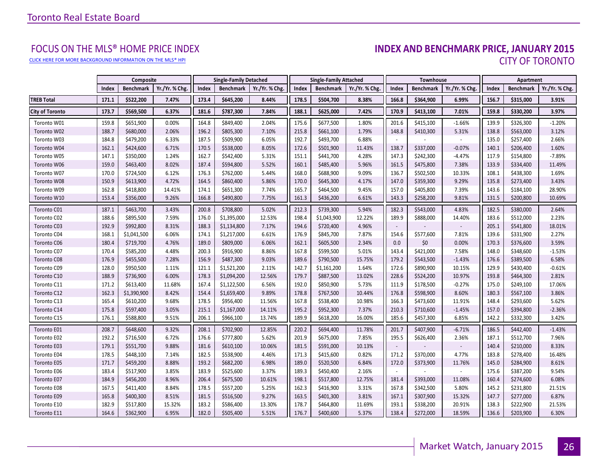[CLICK HERE FOR MORE BACKGROUND INFORMATION ON THE MLS® HPI](http://www.torontorealestateboard.com/market_news/home_price_index/index.htm)

# FOCUS ON THE MLS® HOME PRICE INDEX<br>**INDEX AND BENCHMARK PRICE, JANUARY 2015** CITY OF TORONTO

|                        |       | Composite        |                |       | <b>Single-Family Detached</b> |                |       | <b>Single-Family Attached</b> |                |                          | <b>Townhouse</b> |               |       | Apartment        |                |
|------------------------|-------|------------------|----------------|-------|-------------------------------|----------------|-------|-------------------------------|----------------|--------------------------|------------------|---------------|-------|------------------|----------------|
|                        | Index | <b>Benchmark</b> | Yr./Yr. % Chg. | Index | <b>Benchmark</b>              | Yr./Yr. % Chg. | Index | <b>Benchmark</b>              | Yr./Yr. % Chg. | Index                    | <b>Benchmark</b> | Yr./Yr. % Chg | Index | <b>Benchmark</b> | Yr./Yr. % Chg. |
| <b>TREB Total</b>      | 171.1 | \$522,200        | 7.47%          | 173.4 | \$645,200                     | 8.44%          | 178.5 | \$504,700                     | 8.38%          | 166.8                    | \$364,900        | 6.99%         | 156.7 | \$315,000        | 3.91%          |
| <b>City of Toronto</b> | 173.7 | \$569,500        | 6.37%          | 181.6 | \$787,300                     | 7.84%          | 188.1 | \$625,000                     | 7.42%          | 170.9                    | \$413,100        | 7.01%         | 159.8 | \$330,200        | 3.97%          |
| Toronto W01            | 159.8 | \$651,900        | 0.00%          | 164.8 | \$849,400                     | 2.04%          | 175.6 | \$677,500                     | 1.80%          | 201.6                    | \$415,100        | $-1.66%$      | 139.9 | \$326,300        | $-1.20%$       |
| Toronto W02            | 188.7 | \$680,000        | 2.06%          | 196.2 | \$805,300                     | 7.10%          | 215.8 | \$661,100                     | 1.79%          | 148.8                    | \$410,300        | 5.31%         | 138.8 | \$563,000        | 3.12%          |
| Toronto W03            | 184.8 | \$479,200        | 6.33%          | 187.5 | \$509,900                     | 6.05%          | 192.7 | \$493,700                     | 6.88%          |                          |                  |               | 135.0 | \$257,400        | 2.66%          |
| Toronto W04            | 162.1 | \$424,600        | 6.71%          | 170.5 | \$538,000                     | 8.05%          | 172.6 | \$501,900                     | 11.43%         | 138.7                    | \$337,000        | $-0.07%$      | 140.1 | \$206,400        | 1.60%          |
| Toronto W05            | 147.1 | \$350,000        | 1.24%          | 162.7 | \$542,400                     | 5.31%          | 151.1 | \$441,700                     | 4.28%          | 147.3                    | \$242,300        | $-4.47%$      | 117.9 | \$154,800        | $-7.89%$       |
| Toronto W06            | 159.0 | \$463,400        | 8.02%          | 187.4 | \$594,800                     | 5.52%          | 160.1 | \$485,400                     | 5.96%          | 161.5                    | \$475,800        | 7.38%         | 133.9 | \$334,400        | 11.49%         |
| Toronto W07            | 170.0 | \$724,500        | 6.12%          | 176.3 | \$762,000                     | 5.44%          | 168.0 | \$688,900                     | 9.09%          | 136.7                    | \$502,500        | 10.33%        | 108.1 | \$438,300        | 1.69%          |
| Toronto W08            | 150.9 | \$613,900        | 4.72%          | 164.5 | \$860,400                     | 5.86%          | 170.0 | \$645,300                     | 4.17%          | 147.0                    | \$359,300        | 9.29%         | 135.8 | \$273,400        | 3.43%          |
| Toronto W09            | 162.8 | \$418,800        | 14.41%         | 174.1 | \$651,300                     | 7.74%          | 165.7 | \$464,500                     | 9.45%          | 157.0                    | \$405,800        | 7.39%         | 143.6 | \$184,100        | 28.90%         |
| Toronto W10            | 153.4 | \$356,000        | 9.26%          | 166.8 | \$490,800                     | 7.75%          | 161.3 | \$436,200                     | 6.61%          | 143.3                    | \$258,200        | 9.81%         | 131.5 | \$200,800        | 10.69%         |
| Toronto C01            | 187.1 | \$463,700        | 3.43%          | 200.8 | \$708,800                     | 5.02%          | 212.3 | \$739,300                     | 5.94%          | 182.3                    | \$543,000        | 4.83%         | 182.5 | \$380,000        | 2.64%          |
| Toronto C02            | 188.6 | \$895,500        | 7.59%          | 176.0 | \$1,395,000                   | 12.53%         | 198.4 | \$1,043,900                   | 12.22%         | 189.9                    | \$888,000        | 14.40%        | 183.6 | \$512,000        | 2.23%          |
| Toronto C03            | 192.9 | \$992,800        | 8.31%          | 188.3 | \$1,134,800                   | 7.17%          | 194.6 | \$720,400                     | 4.96%          | $\overline{\phantom{a}}$ |                  |               | 205.1 | \$541,800        | 18.01%         |
| Toronto C04            | 168.1 | \$1,041,500      | 6.06%          | 174.1 | \$1,217,000                   | 6.61%          | 176.9 | \$845,700                     | 7.87%          | 154.6                    | \$577,600        | 7.81%         | 139.6 | \$331,900        | 2.27%          |
| Toronto C06            | 180.4 | \$719,700        | 4.76%          | 189.0 | \$809,000                     | 6.06%          | 162.1 | \$605,500                     | 2.34%          | 0.0                      | \$0              | 0.00%         | 170.3 | \$376,600        | 3.59%          |
| Toronto C07            | 170.4 | \$585,200        | 4.48%          | 200.3 | \$916,900                     | 8.86%          | 167.8 | \$599,500                     | 5.01%          | 143.4                    | \$421,000        | 7.58%         | 148.0 | \$348,600        | $-1.53%$       |
| Toronto C08            | 176.9 | \$455,500        | 7.28%          | 156.9 | \$487,300                     | 9.03%          | 189.6 | \$790,500                     | 15.75%         | 179.2                    | \$543,500        | $-1.43%$      | 176.6 | \$389,500        | 6.58%          |
| Toronto C09            | 128.0 | \$950,500        | 1.11%          | 121.1 | \$1,521,200                   | 2.11%          | 142.7 | \$1,161,200                   | 1.64%          | 172.6                    | \$890,900        | 10.15%        | 129.9 | \$430,400        | $-0.61%$       |
| Toronto C10            | 188.9 | \$736,900        | 6.00%          | 178.3 | \$1,094,200                   | 12.56%         | 179.7 | \$887,500                     | 13.02%         | 228.6                    | \$524,200        | 10.97%        | 193.8 | \$464,300        | 2.81%          |
| Toronto C11            | 171.2 | \$613,400        | 11.68%         | 167.4 | \$1,122,500                   | 6.56%          | 192.0 | \$850,900                     | 5.73%          | 111.9                    | \$178,500        | $-0.27%$      | 175.0 | \$249,100        | 17.06%         |
| Toronto C12            | 162.3 | \$1,390,900      | 8.42%          | 154.4 | \$1,659,400                   | 9.89%          | 178.8 | \$767,500                     | 10.44%         | 176.8                    | \$598,900        | 8.60%         | 180.3 | \$567,100        | 3.86%          |
| Toronto C13            | 165.4 | \$610,200        | 9.68%          | 178.5 | \$956,400                     | 11.56%         | 167.8 | \$538,400                     | 10.98%         | 166.3                    | \$473,600        | 11.91%        | 148.4 | \$293,600        | 5.62%          |
| Toronto C14            | 175.8 | \$597,400        | 3.05%          | 215.1 | \$1,167,000                   | 14.11%         | 195.2 | \$952,300                     | 7.37%          | 210.3                    | \$710,600        | $-1.45%$      | 157.0 | \$394,800        | $-2.36%$       |
| Toronto C15            | 176.1 | \$588,800        | 9.51%          | 206.1 | \$966,100                     | 13.74%         | 189.9 | \$618,200                     | 16.00%         | 185.6                    | \$457,300        | 6.85%         | 142.2 | \$332,300        | 3.42%          |
| Toronto E01            | 208.7 | \$648,600        | 9.32%          | 208.1 | \$702,900                     | 12.85%         | 220.2 | \$694,400                     | 11.78%         | 201.7                    | \$407,900        | $-6.71%$      | 186.5 | \$442,400        | $-1.43%$       |
| Toronto E02            | 192.2 | \$716,500        | 6.72%          | 176.6 | \$777,800                     | 5.62%          | 201.9 | \$675,000                     | 7.85%          | 195.5                    | \$626,400        | 2.36%         | 187.1 | \$512,700        | 7.96%          |
| Toronto E03            | 179.1 | \$551,700        | 9.88%          | 181.6 | \$610,100                     | 10.06%         | 181.5 | \$591,000                     | 10.13%         | $\sim$                   |                  |               | 140.4 | \$210,000        | 8.33%          |
| Toronto E04            | 178.5 | \$448,100        | 7.14%          | 182.5 | \$538,900                     | 4.46%          | 171.3 | \$415,600                     | 0.82%          | 171.2                    | \$370,000        | 4.77%         | 183.8 | \$278,400        | 16.48%         |
| Toronto E05            | 171.7 | \$459,200        | 8.88%          | 193.2 | \$682,200                     | 6.98%          | 189.0 | \$520,500                     | 6.84%          | 172.0                    | \$373,900        | 11.76%        | 145.0 | \$284,900        | 8.61%          |
| Toronto E06            | 183.4 | \$517,900        | 3.85%          | 183.9 | \$525,600                     | 3.37%          | 189.3 | \$450,400                     | 2.16%          |                          |                  |               | 175.6 | \$387,200        | 9.54%          |
| Toronto E07            | 184.9 | \$456,200        | 8.96%          | 206.4 | \$675,500                     | 10.61%         | 198.1 | \$517,800                     | 12.75%         | 181.4                    | \$393,000        | 11.08%        | 160.4 | \$274,600        | 6.08%          |
| Toronto E08            | 167.5 | \$411,400        | 8.84%          | 178.5 | \$557,200                     | 5.25%          | 162.3 | \$416,900                     | 3.31%          | 167.8                    | \$342,500        | 5.80%         | 145.2 | \$231,800        | 21.51%         |
| Toronto E09            | 165.8 | \$400,300        | 8.51%          | 181.5 | \$516,500                     | 9.27%          | 163.5 | \$401,300                     | 3.81%          | 167.1                    | \$307,900        | 15.32%        | 147.7 | \$277,000        | 6.87%          |
| Toronto E10            | 182.9 | \$517,800        | 15.32%         | 183.2 | \$586,400                     | 13.30%         | 178.7 | \$464,800                     | 11.69%         | 193.1                    | \$338,200        | 20.91%        | 138.3 | \$222,900        | 21.53%         |
| Toronto E11            | 164.6 | \$362,900        | 6.95%          | 182.0 | \$505,400                     | 5.51%          | 176.7 | \$400,600                     | 5.37%          | 138.4                    | \$272,000        | 18.59%        | 136.6 | \$203,900        | 6.30%          |